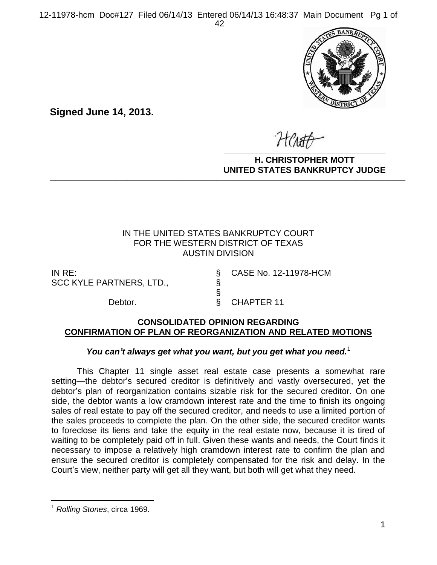

**Signed June 14, 2013.**

**\_\_\_\_\_\_\_\_\_\_\_\_\_\_\_\_\_\_\_\_\_\_\_\_\_\_\_\_\_\_\_\_\_\_**

**H. CHRISTOPHER MOTT UNITED STATES BANKRUPTCY JUDGE PATTED DRIVING TOT 00DCL** 

## IN THE UNITED STATES BANKRUPTCY COURT FOR THE WESTERN DISTRICT OF TEXAS AUSTIN DIVISION

IN RE: § CASE No. 12-11978-HCM SCC KYLE PARTNERS, LTD., §

Debtor. <br>
§ CHAPTER 11

### **CONSOLIDATED OPINION REGARDING CONFIRMATION OF PLAN OF REORGANIZATION AND RELATED MOTIONS**

§

## You can't always get what you want, but you get what you need.<sup>1</sup>

This Chapter 11 single asset real estate case presents a somewhat rare setting—the debtor's secured creditor is definitively and vastly oversecured, yet the debtor's plan of reorganization contains sizable risk for the secured creditor. On one side, the debtor wants a low cramdown interest rate and the time to finish its ongoing sales of real estate to pay off the secured creditor, and needs to use a limited portion of the sales proceeds to complete the plan. On the other side, the secured creditor wants to foreclose its liens and take the equity in the real estate now, because it is tired of waiting to be completely paid off in full. Given these wants and needs, the Court finds it necessary to impose a relatively high cramdown interest rate to confirm the plan and ensure the secured creditor is completely compensated for the risk and delay. In the Court's view, neither party will get all they want, but both will get what they need.

 $\overline{a}$ 

<sup>1</sup> *Rolling Stones*, circa 1969.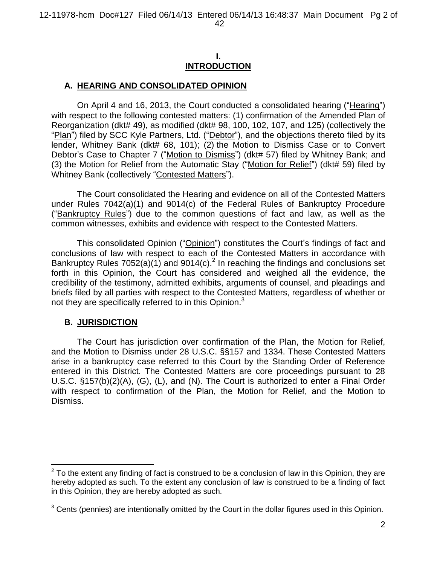### **I. INTRODUCTION**

## **A. HEARING AND CONSOLIDATED OPINION**

On April 4 and 16, 2013, the Court conducted a consolidated hearing ("Hearing") with respect to the following contested matters: (1) confirmation of the Amended Plan of Reorganization (dkt# 49), as modified (dkt# 98, 100, 102, 107, and 125) (collectively the "Plan") filed by SCC Kyle Partners, Ltd. ("Debtor"), and the objections thereto filed by its lender, Whitney Bank (dkt# 68, 101); (2) the Motion to Dismiss Case or to Convert Debtor's Case to Chapter 7 ("Motion to Dismiss") (dkt# 57) filed by Whitney Bank; and (3) the Motion for Relief from the Automatic Stay ("Motion for Relief") (dkt# 59) filed by Whitney Bank (collectively "Contested Matters").

The Court consolidated the Hearing and evidence on all of the Contested Matters under Rules 7042(a)(1) and 9014(c) of the Federal Rules of Bankruptcy Procedure ("Bankruptcy Rules") due to the common questions of fact and law, as well as the common witnesses, exhibits and evidence with respect to the Contested Matters.

This consolidated Opinion ("Opinion") constitutes the Court's findings of fact and conclusions of law with respect to each of the Contested Matters in accordance with Bankruptcy Rules  $7052(a)(1)$  and  $9014(c).<sup>2</sup>$  In reaching the findings and conclusions set forth in this Opinion, the Court has considered and weighed all the evidence, the credibility of the testimony, admitted exhibits, arguments of counsel, and pleadings and briefs filed by all parties with respect to the Contested Matters, regardless of whether or not they are specifically referred to in this Opinion.<sup>3</sup>

## **B. JURISDICTION**

 $\overline{a}$ 

The Court has jurisdiction over confirmation of the Plan, the Motion for Relief, and the Motion to Dismiss under 28 U.S.C. §§157 and 1334. These Contested Matters arise in a bankruptcy case referred to this Court by the Standing Order of Reference entered in this District. The Contested Matters are core proceedings pursuant to 28 U.S.C. §157(b)(2)(A), (G), (L), and (N). The Court is authorized to enter a Final Order with respect to confirmation of the Plan, the Motion for Relief, and the Motion to Dismiss.

 $2$  To the extent any finding of fact is construed to be a conclusion of law in this Opinion, they are hereby adopted as such. To the extent any conclusion of law is construed to be a finding of fact in this Opinion, they are hereby adopted as such.

 $3$  Cents (pennies) are intentionally omitted by the Court in the dollar figures used in this Opinion.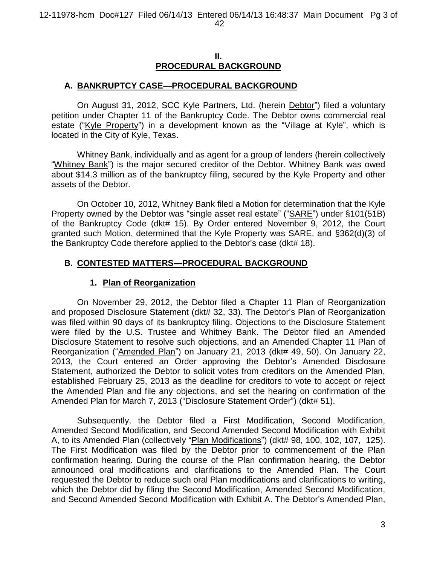#### **II. PROCEDURAL BACKGROUND**

### **A. BANKRUPTCY CASE—PROCEDURAL BACKGROUND**

On August 31, 2012, SCC Kyle Partners, Ltd. (herein Debtor") filed a voluntary petition under Chapter 11 of the Bankruptcy Code. The Debtor owns commercial real estate ("Kyle Property") in a development known as the "Village at Kyle", which is located in the City of Kyle, Texas.

Whitney Bank, individually and as agent for a group of lenders (herein collectively "Whitney Bank") is the major secured creditor of the Debtor. Whitney Bank was owed about \$14.3 million as of the bankruptcy filing, secured by the Kyle Property and other assets of the Debtor.

On October 10, 2012, Whitney Bank filed a Motion for determination that the Kyle Property owned by the Debtor was "single asset real estate" ("SARE") under §101(51B) of the Bankruptcy Code (dkt# 15). By Order entered November 9, 2012, the Court granted such Motion, determined that the Kyle Property was SARE, and §362(d)(3) of the Bankruptcy Code therefore applied to the Debtor's case (dkt# 18).

## **B. CONTESTED MATTERS—PROCEDURAL BACKGROUND**

## **1. Plan of Reorganization**

On November 29, 2012, the Debtor filed a Chapter 11 Plan of Reorganization and proposed Disclosure Statement (dkt# 32, 33). The Debtor's Plan of Reorganization was filed within 90 days of its bankruptcy filing. Objections to the Disclosure Statement were filed by the U.S. Trustee and Whitney Bank. The Debtor filed an Amended Disclosure Statement to resolve such objections, and an Amended Chapter 11 Plan of Reorganization ("Amended Plan") on January 21, 2013 (dkt# 49, 50). On January 22, 2013, the Court entered an Order approving the Debtor's Amended Disclosure Statement, authorized the Debtor to solicit votes from creditors on the Amended Plan, established February 25, 2013 as the deadline for creditors to vote to accept or reject the Amended Plan and file any objections, and set the hearing on confirmation of the Amended Plan for March 7, 2013 ("Disclosure Statement Order") (dkt# 51).

Subsequently, the Debtor filed a First Modification, Second Modification, Amended Second Modification, and Second Amended Second Modification with Exhibit A, to its Amended Plan (collectively "Plan Modifications") (dkt# 98, 100, 102, 107, 125). The First Modification was filed by the Debtor prior to commencement of the Plan confirmation hearing. During the course of the Plan confirmation hearing, the Debtor announced oral modifications and clarifications to the Amended Plan. The Court requested the Debtor to reduce such oral Plan modifications and clarifications to writing, which the Debtor did by filing the Second Modification, Amended Second Modification, and Second Amended Second Modification with Exhibit A. The Debtor's Amended Plan,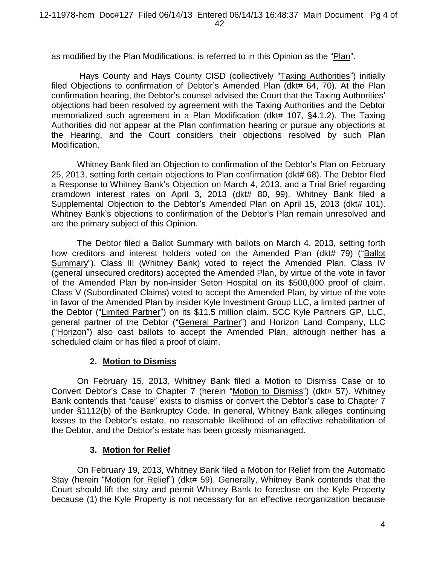as modified by the Plan Modifications, is referred to in this Opinion as the "Plan".

Hays County and Hays County CISD (collectively "Taxing Authorities") initially filed Objections to confirmation of Debtor's Amended Plan (dkt# 64, 70). At the Plan confirmation hearing, the Debtor's counsel advised the Court that the Taxing Authorities' objections had been resolved by agreement with the Taxing Authorities and the Debtor memorialized such agreement in a Plan Modification (dkt# 107, §4.1.2). The Taxing Authorities did not appear at the Plan confirmation hearing or pursue any objections at the Hearing, and the Court considers their objections resolved by such Plan Modification.

Whitney Bank filed an Objection to confirmation of the Debtor's Plan on February 25, 2013, setting forth certain objections to Plan confirmation (dkt# 68). The Debtor filed a Response to Whitney Bank's Objection on March 4, 2013, and a Trial Brief regarding cramdown interest rates on April 3, 2013 (dkt# 80, 99). Whitney Bank filed a Supplemental Objection to the Debtor's Amended Plan on April 15, 2013 (dkt# 101). Whitney Bank's objections to confirmation of the Debtor's Plan remain unresolved and are the primary subject of this Opinion.

The Debtor filed a Ballot Summary with ballots on March 4, 2013, setting forth how creditors and interest holders voted on the Amended Plan (dkt# 79) ("Ballot Summary"). Class III (Whitney Bank) voted to reject the Amended Plan. Class IV (general unsecured creditors) accepted the Amended Plan, by virtue of the vote in favor of the Amended Plan by non-insider Seton Hospital on its \$500,000 proof of claim. Class V (Subordinated Claims) voted to accept the Amended Plan, by virtue of the vote in favor of the Amended Plan by insider Kyle Investment Group LLC, a limited partner of the Debtor ("Limited Partner") on its \$11.5 million claim. SCC Kyle Partners GP, LLC, general partner of the Debtor ("General Partner") and Horizon Land Company, LLC ("Horizon") also cast ballots to accept the Amended Plan, although neither has a scheduled claim or has filed a proof of claim.

## **2. Motion to Dismiss**

On February 15, 2013, Whitney Bank filed a Motion to Dismiss Case or to Convert Debtor's Case to Chapter 7 (herein "Motion to Dismiss") (dkt# 57). Whitney Bank contends that "cause" exists to dismiss or convert the Debtor's case to Chapter 7 under §1112(b) of the Bankruptcy Code. In general, Whitney Bank alleges continuing losses to the Debtor's estate, no reasonable likelihood of an effective rehabilitation of the Debtor, and the Debtor's estate has been grossly mismanaged.

# **3. Motion for Relief**

On February 19, 2013, Whitney Bank filed a Motion for Relief from the Automatic Stay (herein "Motion for Relief") (dkt# 59). Generally, Whitney Bank contends that the Court should lift the stay and permit Whitney Bank to foreclose on the Kyle Property because (1) the Kyle Property is not necessary for an effective reorganization because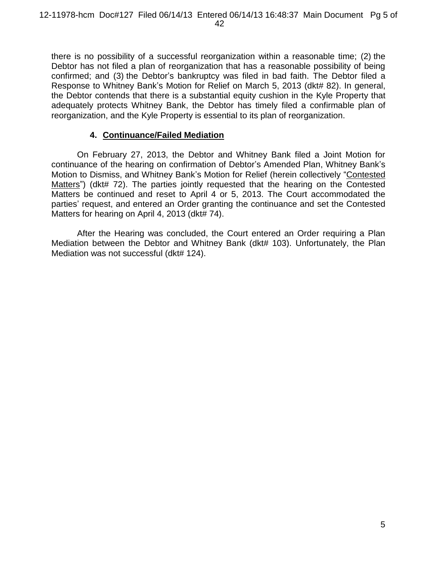there is no possibility of a successful reorganization within a reasonable time; (2) the Debtor has not filed a plan of reorganization that has a reasonable possibility of being confirmed; and (3) the Debtor's bankruptcy was filed in bad faith. The Debtor filed a Response to Whitney Bank's Motion for Relief on March 5, 2013 (dkt# 82). In general, the Debtor contends that there is a substantial equity cushion in the Kyle Property that adequately protects Whitney Bank, the Debtor has timely filed a confirmable plan of reorganization, and the Kyle Property is essential to its plan of reorganization.

# **4. Continuance/Failed Mediation**

On February 27, 2013, the Debtor and Whitney Bank filed a Joint Motion for continuance of the hearing on confirmation of Debtor's Amended Plan, Whitney Bank's Motion to Dismiss, and Whitney Bank's Motion for Relief (herein collectively "Contested Matters") (dkt# 72). The parties jointly requested that the hearing on the Contested Matters be continued and reset to April 4 or 5, 2013. The Court accommodated the parties' request, and entered an Order granting the continuance and set the Contested Matters for hearing on April 4, 2013 (dkt# 74).

After the Hearing was concluded, the Court entered an Order requiring a Plan Mediation between the Debtor and Whitney Bank (dkt# 103). Unfortunately, the Plan Mediation was not successful (dkt# 124).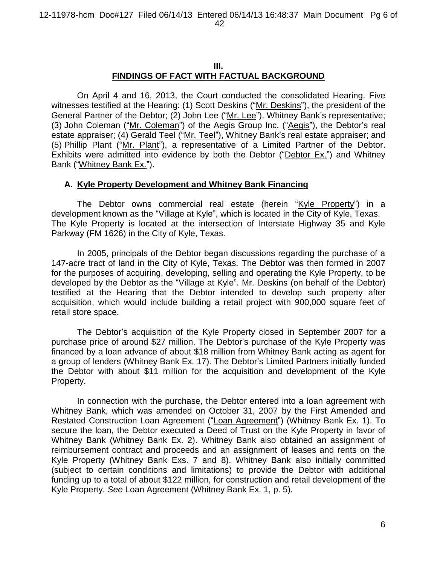### **III. FINDINGS OF FACT WITH FACTUAL BACKGROUND**

On April 4 and 16, 2013, the Court conducted the consolidated Hearing. Five witnesses testified at the Hearing: (1) Scott Deskins ("Mr. Deskins"), the president of the General Partner of the Debtor; (2) John Lee ("Mr. Lee"), Whitney Bank's representative; (3) John Coleman ("Mr. Coleman") of the Aegis Group Inc. ("Aegis"), the Debtor's real estate appraiser; (4) Gerald Teel ("Mr. Teel"), Whitney Bank's real estate appraiser; and (5) Phillip Plant ("Mr. Plant"), a representative of a Limited Partner of the Debtor. Exhibits were admitted into evidence by both the Debtor ("Debtor Ex.") and Whitney Bank ("Whitney Bank Ex.").

## **A. Kyle Property Development and Whitney Bank Financing**

The Debtor owns commercial real estate (herein "Kyle Property") in a development known as the "Village at Kyle", which is located in the City of Kyle, Texas. The Kyle Property is located at the intersection of Interstate Highway 35 and Kyle Parkway (FM 1626) in the City of Kyle, Texas.

In 2005, principals of the Debtor began discussions regarding the purchase of a 147-acre tract of land in the City of Kyle, Texas. The Debtor was then formed in 2007 for the purposes of acquiring, developing, selling and operating the Kyle Property, to be developed by the Debtor as the "Village at Kyle". Mr. Deskins (on behalf of the Debtor) testified at the Hearing that the Debtor intended to develop such property after acquisition, which would include building a retail project with 900,000 square feet of retail store space.

The Debtor's acquisition of the Kyle Property closed in September 2007 for a purchase price of around \$27 million. The Debtor's purchase of the Kyle Property was financed by a loan advance of about \$18 million from Whitney Bank acting as agent for a group of lenders (Whitney Bank Ex. 17). The Debtor's Limited Partners initially funded the Debtor with about \$11 million for the acquisition and development of the Kyle Property.

In connection with the purchase, the Debtor entered into a loan agreement with Whitney Bank, which was amended on October 31, 2007 by the First Amended and Restated Construction Loan Agreement ("Loan Agreement") (Whitney Bank Ex. 1). To secure the loan, the Debtor executed a Deed of Trust on the Kyle Property in favor of Whitney Bank (Whitney Bank Ex. 2). Whitney Bank also obtained an assignment of reimbursement contract and proceeds and an assignment of leases and rents on the Kyle Property (Whitney Bank Exs. 7 and 8). Whitney Bank also initially committed (subject to certain conditions and limitations) to provide the Debtor with additional funding up to a total of about \$122 million, for construction and retail development of the Kyle Property. *See* Loan Agreement (Whitney Bank Ex. 1, p. 5).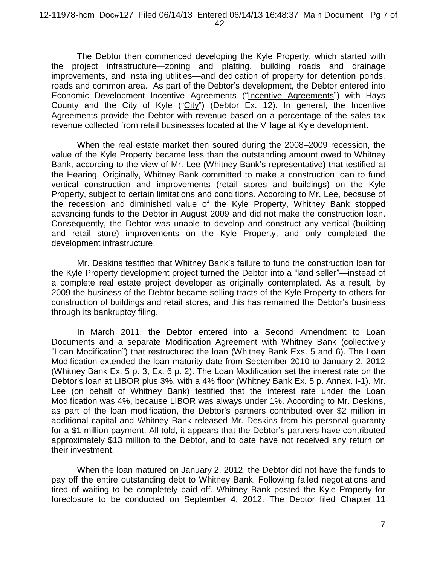The Debtor then commenced developing the Kyle Property, which started with the project infrastructure—zoning and platting, building roads and drainage improvements, and installing utilities—and dedication of property for detention ponds, roads and common area. As part of the Debtor's development, the Debtor entered into Economic Development Incentive Agreements ("Incentive Agreements") with Hays County and the City of Kyle ("City") (Debtor Ex. 12). In general, the Incentive Agreements provide the Debtor with revenue based on a percentage of the sales tax revenue collected from retail businesses located at the Village at Kyle development.

When the real estate market then soured during the 2008–2009 recession, the value of the Kyle Property became less than the outstanding amount owed to Whitney Bank, according to the view of Mr. Lee (Whitney Bank's representative) that testified at the Hearing. Originally, Whitney Bank committed to make a construction loan to fund vertical construction and improvements (retail stores and buildings) on the Kyle Property, subject to certain limitations and conditions. According to Mr. Lee, because of the recession and diminished value of the Kyle Property, Whitney Bank stopped advancing funds to the Debtor in August 2009 and did not make the construction loan. Consequently, the Debtor was unable to develop and construct any vertical (building and retail store) improvements on the Kyle Property, and only completed the development infrastructure.

Mr. Deskins testified that Whitney Bank's failure to fund the construction loan for the Kyle Property development project turned the Debtor into a "land seller"—instead of a complete real estate project developer as originally contemplated. As a result, by 2009 the business of the Debtor became selling tracts of the Kyle Property to others for construction of buildings and retail stores, and this has remained the Debtor's business through its bankruptcy filing.

In March 2011, the Debtor entered into a Second Amendment to Loan Documents and a separate Modification Agreement with Whitney Bank (collectively "Loan Modification") that restructured the loan (Whitney Bank Exs. 5 and 6). The Loan Modification extended the loan maturity date from September 2010 to January 2, 2012 (Whitney Bank Ex. 5 p. 3, Ex. 6 p. 2). The Loan Modification set the interest rate on the Debtor's loan at LIBOR plus 3%, with a 4% floor (Whitney Bank Ex. 5 p. Annex. I-1). Mr. Lee (on behalf of Whitney Bank) testified that the interest rate under the Loan Modification was 4%, because LIBOR was always under 1%. According to Mr. Deskins, as part of the loan modification, the Debtor's partners contributed over \$2 million in additional capital and Whitney Bank released Mr. Deskins from his personal guaranty for a \$1 million payment. All told, it appears that the Debtor's partners have contributed approximately \$13 million to the Debtor, and to date have not received any return on their investment.

When the loan matured on January 2, 2012, the Debtor did not have the funds to pay off the entire outstanding debt to Whitney Bank. Following failed negotiations and tired of waiting to be completely paid off, Whitney Bank posted the Kyle Property for foreclosure to be conducted on September 4, 2012. The Debtor filed Chapter 11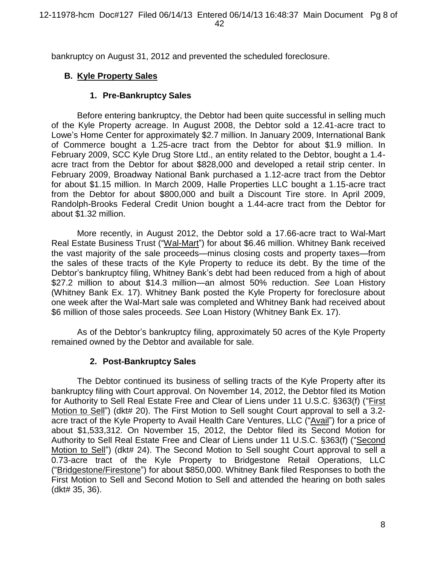bankruptcy on August 31, 2012 and prevented the scheduled foreclosure.

# **B. Kyle Property Sales**

### **1. Pre-Bankruptcy Sales**

Before entering bankruptcy, the Debtor had been quite successful in selling much of the Kyle Property acreage. In August 2008, the Debtor sold a 12.41-acre tract to Lowe's Home Center for approximately \$2.7 million. In January 2009, International Bank of Commerce bought a 1.25-acre tract from the Debtor for about \$1.9 million. In February 2009, SCC Kyle Drug Store Ltd., an entity related to the Debtor, bought a 1.4 acre tract from the Debtor for about \$828,000 and developed a retail strip center. In February 2009, Broadway National Bank purchased a 1.12-acre tract from the Debtor for about \$1.15 million. In March 2009, Halle Properties LLC bought a 1.15-acre tract from the Debtor for about \$800,000 and built a Discount Tire store. In April 2009, Randolph-Brooks Federal Credit Union bought a 1.44-acre tract from the Debtor for about \$1.32 million.

More recently, in August 2012, the Debtor sold a 17.66-acre tract to Wal-Mart Real Estate Business Trust ("Wal-Mart") for about \$6.46 million. Whitney Bank received the vast majority of the sale proceeds—minus closing costs and property taxes—from the sales of these tracts of the Kyle Property to reduce its debt. By the time of the Debtor's bankruptcy filing, Whitney Bank's debt had been reduced from a high of about \$27.2 million to about \$14.3 million—an almost 50% reduction. *See* Loan History (Whitney Bank Ex. 17). Whitney Bank posted the Kyle Property for foreclosure about one week after the Wal-Mart sale was completed and Whitney Bank had received about \$6 million of those sales proceeds. *See* Loan History (Whitney Bank Ex. 17).

As of the Debtor's bankruptcy filing, approximately 50 acres of the Kyle Property remained owned by the Debtor and available for sale.

## **2. Post-Bankruptcy Sales**

The Debtor continued its business of selling tracts of the Kyle Property after its bankruptcy filing with Court approval. On November 14, 2012, the Debtor filed its Motion for Authority to Sell Real Estate Free and Clear of Liens under 11 U.S.C. §363(f) ("First Motion to Sell") (dkt# 20). The First Motion to Sell sought Court approval to sell a 3.2acre tract of the Kyle Property to Avail Health Care Ventures, LLC ("Avail") for a price of about \$1,533,312. On November 15, 2012, the Debtor filed its Second Motion for Authority to Sell Real Estate Free and Clear of Liens under 11 U.S.C. §363(f) ("Second Motion to Sell") (dkt# 24). The Second Motion to Sell sought Court approval to sell a 0.73-acre tract of the Kyle Property to Bridgestone Retail Operations, LLC ("Bridgestone/Firestone") for about \$850,000. Whitney Bank filed Responses to both the First Motion to Sell and Second Motion to Sell and attended the hearing on both sales (dkt# 35, 36).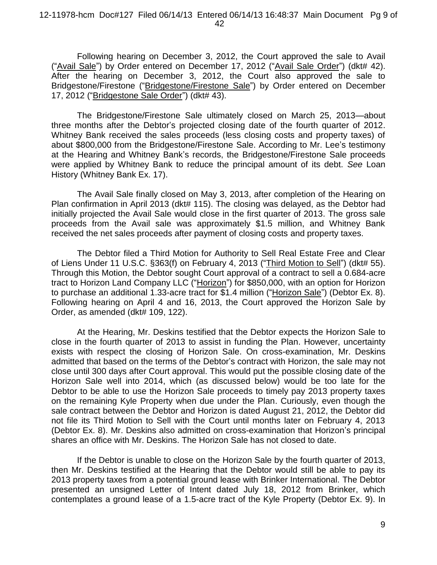Following hearing on December 3, 2012, the Court approved the sale to Avail ("Avail Sale") by Order entered on December 17, 2012 ("Avail Sale Order") (dkt# 42). After the hearing on December 3, 2012, the Court also approved the sale to Bridgestone/Firestone ("Bridgestone/Firestone Sale") by Order entered on December 17, 2012 ("Bridgestone Sale Order") (dkt# 43).

The Bridgestone/Firestone Sale ultimately closed on March 25, 2013—about three months after the Debtor's projected closing date of the fourth quarter of 2012. Whitney Bank received the sales proceeds (less closing costs and property taxes) of about \$800,000 from the Bridgestone/Firestone Sale. According to Mr. Lee's testimony at the Hearing and Whitney Bank's records, the Bridgestone/Firestone Sale proceeds were applied by Whitney Bank to reduce the principal amount of its debt. *See* Loan History (Whitney Bank Ex. 17).

The Avail Sale finally closed on May 3, 2013, after completion of the Hearing on Plan confirmation in April 2013 (dkt# 115). The closing was delayed, as the Debtor had initially projected the Avail Sale would close in the first quarter of 2013. The gross sale proceeds from the Avail sale was approximately \$1.5 million, and Whitney Bank received the net sales proceeds after payment of closing costs and property taxes.

The Debtor filed a Third Motion for Authority to Sell Real Estate Free and Clear of Liens Under 11 U.S.C. §363(f) on February 4, 2013 ("Third Motion to Sell") (dkt# 55). Through this Motion, the Debtor sought Court approval of a contract to sell a 0.684-acre tract to Horizon Land Company LLC ("Horizon") for \$850,000, with an option for Horizon to purchase an additional 1.33-acre tract for \$1.4 million ("Horizon Sale") (Debtor Ex. 8). Following hearing on April 4 and 16, 2013, the Court approved the Horizon Sale by Order, as amended (dkt# 109, 122).

At the Hearing, Mr. Deskins testified that the Debtor expects the Horizon Sale to close in the fourth quarter of 2013 to assist in funding the Plan. However, uncertainty exists with respect the closing of Horizon Sale. On cross-examination, Mr. Deskins admitted that based on the terms of the Debtor's contract with Horizon, the sale may not close until 300 days after Court approval. This would put the possible closing date of the Horizon Sale well into 2014, which (as discussed below) would be too late for the Debtor to be able to use the Horizon Sale proceeds to timely pay 2013 property taxes on the remaining Kyle Property when due under the Plan. Curiously, even though the sale contract between the Debtor and Horizon is dated August 21, 2012, the Debtor did not file its Third Motion to Sell with the Court until months later on February 4, 2013 (Debtor Ex. 8). Mr. Deskins also admitted on cross-examination that Horizon's principal shares an office with Mr. Deskins. The Horizon Sale has not closed to date.

If the Debtor is unable to close on the Horizon Sale by the fourth quarter of 2013, then Mr. Deskins testified at the Hearing that the Debtor would still be able to pay its 2013 property taxes from a potential ground lease with Brinker International. The Debtor presented an unsigned Letter of Intent dated July 18, 2012 from Brinker, which contemplates a ground lease of a 1.5-acre tract of the Kyle Property (Debtor Ex. 9). In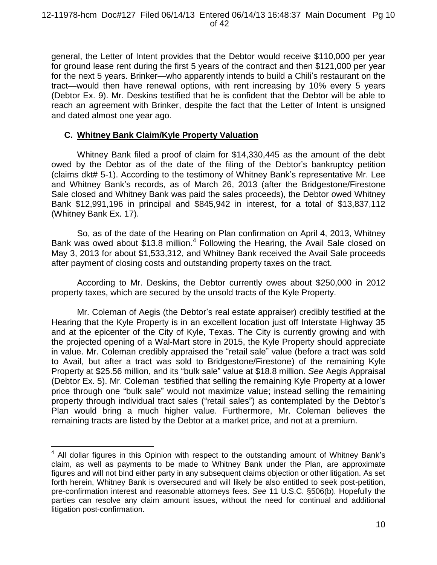general, the Letter of Intent provides that the Debtor would receive \$110,000 per year for ground lease rent during the first 5 years of the contract and then \$121,000 per year for the next 5 years. Brinker—who apparently intends to build a Chili's restaurant on the tract—would then have renewal options, with rent increasing by 10% every 5 years (Debtor Ex. 9). Mr. Deskins testified that he is confident that the Debtor will be able to reach an agreement with Brinker, despite the fact that the Letter of Intent is unsigned and dated almost one year ago.

# **C. Whitney Bank Claim/Kyle Property Valuation**

 $\overline{a}$ 

Whitney Bank filed a proof of claim for \$14,330,445 as the amount of the debt owed by the Debtor as of the date of the filing of the Debtor's bankruptcy petition (claims dkt# 5-1). According to the testimony of Whitney Bank's representative Mr. Lee and Whitney Bank's records, as of March 26, 2013 (after the Bridgestone/Firestone Sale closed and Whitney Bank was paid the sales proceeds), the Debtor owed Whitney Bank \$12,991,196 in principal and \$845,942 in interest, for a total of \$13,837,112 (Whitney Bank Ex. 17).

So, as of the date of the Hearing on Plan confirmation on April 4, 2013, Whitney Bank was owed about \$13.8 million.<sup>4</sup> Following the Hearing, the Avail Sale closed on May 3, 2013 for about \$1,533,312, and Whitney Bank received the Avail Sale proceeds after payment of closing costs and outstanding property taxes on the tract.

According to Mr. Deskins, the Debtor currently owes about \$250,000 in 2012 property taxes, which are secured by the unsold tracts of the Kyle Property.

Mr. Coleman of Aegis (the Debtor's real estate appraiser) credibly testified at the Hearing that the Kyle Property is in an excellent location just off Interstate Highway 35 and at the epicenter of the City of Kyle, Texas. The City is currently growing and with the projected opening of a Wal-Mart store in 2015, the Kyle Property should appreciate in value. Mr. Coleman credibly appraised the "retail sale" value (before a tract was sold to Avail, but after a tract was sold to Bridgestone/Firestone) of the remaining Kyle Property at \$25.56 million, and its "bulk sale" value at \$18.8 million. *See* Aegis Appraisal (Debtor Ex. 5). Mr. Coleman testified that selling the remaining Kyle Property at a lower price through one "bulk sale" would not maximize value; instead selling the remaining property through individual tract sales ("retail sales") as contemplated by the Debtor's Plan would bring a much higher value. Furthermore, Mr. Coleman believes the remaining tracts are listed by the Debtor at a market price, and not at a premium.

 $4$  All dollar figures in this Opinion with respect to the outstanding amount of Whitney Bank's claim, as well as payments to be made to Whitney Bank under the Plan, are approximate figures and will not bind either party in any subsequent claims objection or other litigation. As set forth herein, Whitney Bank is oversecured and will likely be also entitled to seek post-petition, pre-confirmation interest and reasonable attorneys fees. *See* 11 U.S.C. §506(b). Hopefully the parties can resolve any claim amount issues, without the need for continual and additional litigation post-confirmation.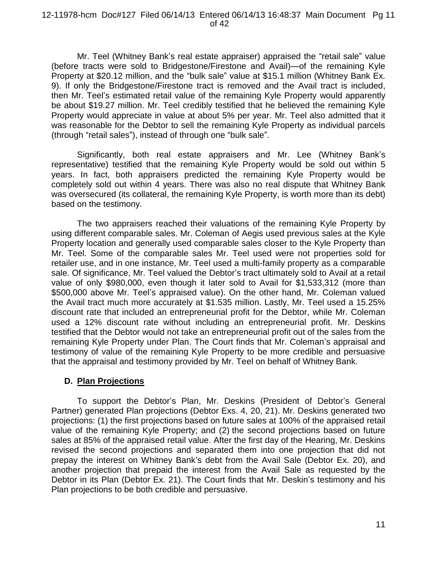Mr. Teel (Whitney Bank's real estate appraiser) appraised the "retail sale" value (before tracts were sold to Bridgestone/Firestone and Avail)—of the remaining Kyle Property at \$20.12 million, and the "bulk sale" value at \$15.1 million (Whitney Bank Ex. 9). If only the Bridgestone/Firestone tract is removed and the Avail tract is included, then Mr. Teel's estimated retail value of the remaining Kyle Property would apparently be about \$19.27 million. Mr. Teel credibly testified that he believed the remaining Kyle Property would appreciate in value at about 5% per year. Mr. Teel also admitted that it was reasonable for the Debtor to sell the remaining Kyle Property as individual parcels (through "retail sales"), instead of through one "bulk sale".

Significantly, both real estate appraisers and Mr. Lee (Whitney Bank's representative) testified that the remaining Kyle Property would be sold out within 5 years. In fact, both appraisers predicted the remaining Kyle Property would be completely sold out within 4 years. There was also no real dispute that Whitney Bank was oversecured (its collateral, the remaining Kyle Property, is worth more than its debt) based on the testimony.

The two appraisers reached their valuations of the remaining Kyle Property by using different comparable sales. Mr. Coleman of Aegis used previous sales at the Kyle Property location and generally used comparable sales closer to the Kyle Property than Mr. Teel. Some of the comparable sales Mr. Teel used were not properties sold for retailer use, and in one instance, Mr. Teel used a multi-family property as a comparable sale. Of significance, Mr. Teel valued the Debtor's tract ultimately sold to Avail at a retail value of only \$980,000, even though it later sold to Avail for \$1,533,312 (more than \$500,000 above Mr. Teel's appraised value). On the other hand, Mr. Coleman valued the Avail tract much more accurately at \$1.535 million. Lastly, Mr. Teel used a 15.25% discount rate that included an entrepreneurial profit for the Debtor, while Mr. Coleman used a 12% discount rate without including an entrepreneurial profit. Mr. Deskins testified that the Debtor would not take an entrepreneurial profit out of the sales from the remaining Kyle Property under Plan. The Court finds that Mr. Coleman's appraisal and testimony of value of the remaining Kyle Property to be more credible and persuasive that the appraisal and testimony provided by Mr. Teel on behalf of Whitney Bank.

## **D. Plan Projections**

To support the Debtor's Plan, Mr. Deskins (President of Debtor's General Partner) generated Plan projections (Debtor Exs. 4, 20, 21). Mr. Deskins generated two projections: (1) the first projections based on future sales at 100% of the appraised retail value of the remaining Kyle Property; and (2) the second projections based on future sales at 85% of the appraised retail value. After the first day of the Hearing, Mr. Deskins revised the second projections and separated them into one projection that did not prepay the interest on Whitney Bank's debt from the Avail Sale (Debtor Ex. 20), and another projection that prepaid the interest from the Avail Sale as requested by the Debtor in its Plan (Debtor Ex. 21). The Court finds that Mr. Deskin's testimony and his Plan projections to be both credible and persuasive.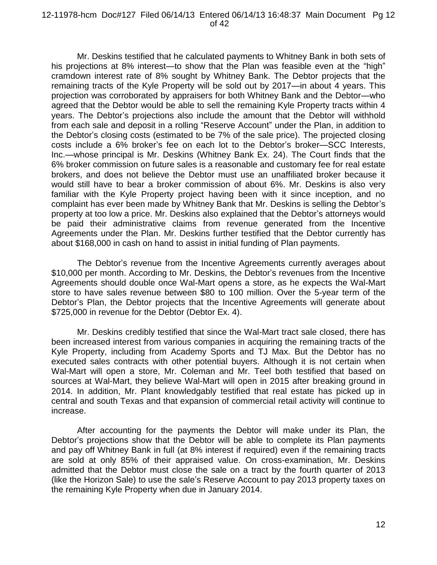#### 12-11978-hcm Doc#127 Filed 06/14/13 Entered 06/14/13 16:48:37 Main Document Pg 12 of 42

Mr. Deskins testified that he calculated payments to Whitney Bank in both sets of his projections at 8% interest—to show that the Plan was feasible even at the "high" cramdown interest rate of 8% sought by Whitney Bank. The Debtor projects that the remaining tracts of the Kyle Property will be sold out by 2017—in about 4 years. This projection was corroborated by appraisers for both Whitney Bank and the Debtor—who agreed that the Debtor would be able to sell the remaining Kyle Property tracts within 4 years. The Debtor's projections also include the amount that the Debtor will withhold from each sale and deposit in a rolling "Reserve Account" under the Plan, in addition to the Debtor's closing costs (estimated to be 7% of the sale price). The projected closing costs include a 6% broker's fee on each lot to the Debtor's broker—SCC Interests, Inc.—whose principal is Mr. Deskins (Whitney Bank Ex. 24). The Court finds that the 6% broker commission on future sales is a reasonable and customary fee for real estate brokers, and does not believe the Debtor must use an unaffiliated broker because it would still have to bear a broker commission of about 6%. Mr. Deskins is also very familiar with the Kyle Property project having been with it since inception, and no complaint has ever been made by Whitney Bank that Mr. Deskins is selling the Debtor's property at too low a price. Mr. Deskins also explained that the Debtor's attorneys would be paid their administrative claims from revenue generated from the Incentive Agreements under the Plan. Mr. Deskins further testified that the Debtor currently has about \$168,000 in cash on hand to assist in initial funding of Plan payments.

The Debtor's revenue from the Incentive Agreements currently averages about \$10,000 per month. According to Mr. Deskins, the Debtor's revenues from the Incentive Agreements should double once Wal-Mart opens a store, as he expects the Wal-Mart store to have sales revenue between \$80 to 100 million. Over the 5-year term of the Debtor's Plan, the Debtor projects that the Incentive Agreements will generate about \$725,000 in revenue for the Debtor (Debtor Ex. 4).

Mr. Deskins credibly testified that since the Wal-Mart tract sale closed, there has been increased interest from various companies in acquiring the remaining tracts of the Kyle Property, including from Academy Sports and TJ Max. But the Debtor has no executed sales contracts with other potential buyers. Although it is not certain when Wal-Mart will open a store, Mr. Coleman and Mr. Teel both testified that based on sources at Wal-Mart, they believe Wal-Mart will open in 2015 after breaking ground in 2014. In addition, Mr. Plant knowledgably testified that real estate has picked up in central and south Texas and that expansion of commercial retail activity will continue to increase.

After accounting for the payments the Debtor will make under its Plan, the Debtor's projections show that the Debtor will be able to complete its Plan payments and pay off Whitney Bank in full (at 8% interest if required) even if the remaining tracts are sold at only 85% of their appraised value. On cross-examination, Mr. Deskins admitted that the Debtor must close the sale on a tract by the fourth quarter of 2013 (like the Horizon Sale) to use the sale's Reserve Account to pay 2013 property taxes on the remaining Kyle Property when due in January 2014.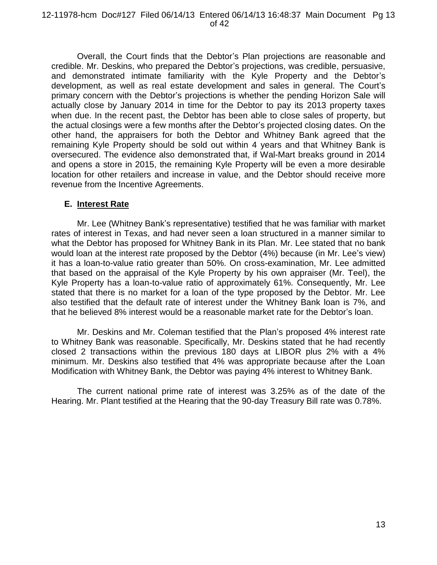Overall, the Court finds that the Debtor's Plan projections are reasonable and credible. Mr. Deskins, who prepared the Debtor's projections, was credible, persuasive, and demonstrated intimate familiarity with the Kyle Property and the Debtor's development, as well as real estate development and sales in general. The Court's primary concern with the Debtor's projections is whether the pending Horizon Sale will actually close by January 2014 in time for the Debtor to pay its 2013 property taxes when due. In the recent past, the Debtor has been able to close sales of property, but the actual closings were a few months after the Debtor's projected closing dates. On the other hand, the appraisers for both the Debtor and Whitney Bank agreed that the remaining Kyle Property should be sold out within 4 years and that Whitney Bank is oversecured. The evidence also demonstrated that, if Wal-Mart breaks ground in 2014 and opens a store in 2015, the remaining Kyle Property will be even a more desirable location for other retailers and increase in value, and the Debtor should receive more revenue from the Incentive Agreements.

### **E. Interest Rate**

Mr. Lee (Whitney Bank's representative) testified that he was familiar with market rates of interest in Texas, and had never seen a loan structured in a manner similar to what the Debtor has proposed for Whitney Bank in its Plan. Mr. Lee stated that no bank would loan at the interest rate proposed by the Debtor (4%) because (in Mr. Lee's view) it has a loan-to-value ratio greater than 50%. On cross-examination, Mr. Lee admitted that based on the appraisal of the Kyle Property by his own appraiser (Mr. Teel), the Kyle Property has a loan-to-value ratio of approximately 61%. Consequently, Mr. Lee stated that there is no market for a loan of the type proposed by the Debtor. Mr. Lee also testified that the default rate of interest under the Whitney Bank loan is 7%, and that he believed 8% interest would be a reasonable market rate for the Debtor's loan.

Mr. Deskins and Mr. Coleman testified that the Plan's proposed 4% interest rate to Whitney Bank was reasonable. Specifically, Mr. Deskins stated that he had recently closed 2 transactions within the previous 180 days at LIBOR plus 2% with a 4% minimum. Mr. Deskins also testified that 4% was appropriate because after the Loan Modification with Whitney Bank, the Debtor was paying 4% interest to Whitney Bank.

The current national prime rate of interest was 3.25% as of the date of the Hearing. Mr. Plant testified at the Hearing that the 90-day Treasury Bill rate was 0.78%.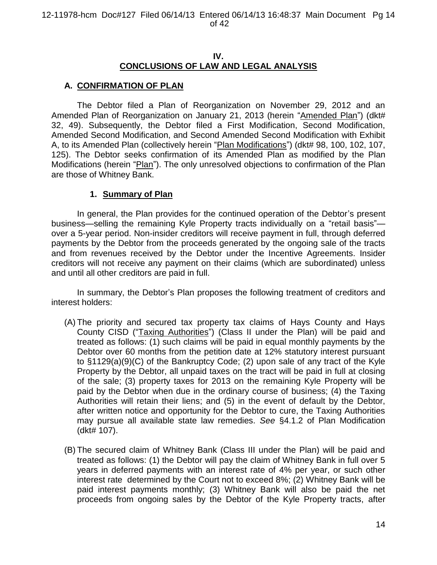## **IV. CONCLUSIONS OF LAW AND LEGAL ANALYSIS**

# **A. CONFIRMATION OF PLAN**

The Debtor filed a Plan of Reorganization on November 29, 2012 and an Amended Plan of Reorganization on January 21, 2013 (herein "Amended Plan") (dkt# 32, 49). Subsequently, the Debtor filed a First Modification, Second Modification, Amended Second Modification, and Second Amended Second Modification with Exhibit A, to its Amended Plan (collectively herein "Plan Modifications") (dkt# 98, 100, 102, 107, 125). The Debtor seeks confirmation of its Amended Plan as modified by the Plan Modifications (herein "Plan"). The only unresolved objections to confirmation of the Plan are those of Whitney Bank.

# **1. Summary of Plan**

In general, the Plan provides for the continued operation of the Debtor's present business—selling the remaining Kyle Property tracts individually on a "retail basis" over a 5-year period. Non-insider creditors will receive payment in full, through deferred payments by the Debtor from the proceeds generated by the ongoing sale of the tracts and from revenues received by the Debtor under the Incentive Agreements. Insider creditors will not receive any payment on their claims (which are subordinated) unless and until all other creditors are paid in full.

In summary, the Debtor's Plan proposes the following treatment of creditors and interest holders:

- (A) The priority and secured tax property tax claims of Hays County and Hays County CISD ("Taxing Authorities") (Class II under the Plan) will be paid and treated as follows: (1) such claims will be paid in equal monthly payments by the Debtor over 60 months from the petition date at 12% statutory interest pursuant to §1129(a)(9)(C) of the Bankruptcy Code; (2) upon sale of any tract of the Kyle Property by the Debtor, all unpaid taxes on the tract will be paid in full at closing of the sale; (3) property taxes for 2013 on the remaining Kyle Property will be paid by the Debtor when due in the ordinary course of business; (4) the Taxing Authorities will retain their liens; and (5) in the event of default by the Debtor, after written notice and opportunity for the Debtor to cure, the Taxing Authorities may pursue all available state law remedies. *See* §4.1.2 of Plan Modification (dkt# 107).
- (B) The secured claim of Whitney Bank (Class III under the Plan) will be paid and treated as follows: (1) the Debtor will pay the claim of Whitney Bank in full over 5 years in deferred payments with an interest rate of 4% per year, or such other interest rate determined by the Court not to exceed 8%; (2) Whitney Bank will be paid interest payments monthly; (3) Whitney Bank will also be paid the net proceeds from ongoing sales by the Debtor of the Kyle Property tracts, after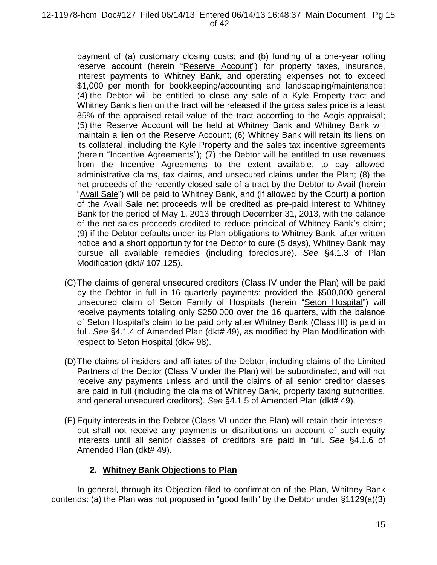payment of (a) customary closing costs; and (b) funding of a one-year rolling reserve account (herein "Reserve Account") for property taxes, insurance, interest payments to Whitney Bank, and operating expenses not to exceed \$1,000 per month for bookkeeping/accounting and landscaping/maintenance; (4) the Debtor will be entitled to close any sale of a Kyle Property tract and Whitney Bank's lien on the tract will be released if the gross sales price is a least 85% of the appraised retail value of the tract according to the Aegis appraisal; (5) the Reserve Account will be held at Whitney Bank and Whitney Bank will maintain a lien on the Reserve Account; (6) Whitney Bank will retain its liens on its collateral, including the Kyle Property and the sales tax incentive agreements (herein "Incentive Agreements"); (7) the Debtor will be entitled to use revenues from the Incentive Agreements to the extent available, to pay allowed administrative claims, tax claims, and unsecured claims under the Plan; (8) the net proceeds of the recently closed sale of a tract by the Debtor to Avail (herein "Avail Sale") will be paid to Whitney Bank, and (if allowed by the Court) a portion of the Avail Sale net proceeds will be credited as pre-paid interest to Whitney Bank for the period of May 1, 2013 through December 31, 2013, with the balance of the net sales proceeds credited to reduce principal of Whitney Bank's claim; (9) if the Debtor defaults under its Plan obligations to Whitney Bank, after written notice and a short opportunity for the Debtor to cure (5 days), Whitney Bank may pursue all available remedies (including foreclosure). *See* §4.1.3 of Plan Modification (dkt# 107,125).

- (C)The claims of general unsecured creditors (Class IV under the Plan) will be paid by the Debtor in full in 16 quarterly payments; provided the \$500,000 general unsecured claim of Seton Family of Hospitals (herein "Seton Hospital") will receive payments totaling only \$250,000 over the 16 quarters, with the balance of Seton Hospital's claim to be paid only after Whitney Bank (Class III) is paid in full. *See* §4.1.4 of Amended Plan (dkt# 49), as modified by Plan Modification with respect to Seton Hospital (dkt# 98).
- (D)The claims of insiders and affiliates of the Debtor, including claims of the Limited Partners of the Debtor (Class V under the Plan) will be subordinated, and will not receive any payments unless and until the claims of all senior creditor classes are paid in full (including the claims of Whitney Bank, property taxing authorities, and general unsecured creditors). *See* §4.1.5 of Amended Plan (dkt# 49).
- (E)Equity interests in the Debtor (Class VI under the Plan) will retain their interests, but shall not receive any payments or distributions on account of such equity interests until all senior classes of creditors are paid in full. *See* §4.1.6 of Amended Plan (dkt# 49).

# **2. Whitney Bank Objections to Plan**

In general, through its Objection filed to confirmation of the Plan, Whitney Bank contends: (a) the Plan was not proposed in "good faith" by the Debtor under §1129(a)(3)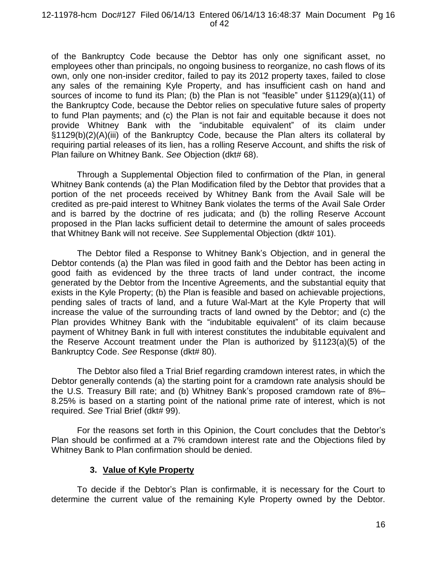#### 12-11978-hcm Doc#127 Filed 06/14/13 Entered 06/14/13 16:48:37 Main Document Pg 16 of 42

of the Bankruptcy Code because the Debtor has only one significant asset, no employees other than principals, no ongoing business to reorganize, no cash flows of its own, only one non-insider creditor, failed to pay its 2012 property taxes, failed to close any sales of the remaining Kyle Property, and has insufficient cash on hand and sources of income to fund its Plan; (b) the Plan is not "feasible" under §1129(a)(11) of the Bankruptcy Code, because the Debtor relies on speculative future sales of property to fund Plan payments; and (c) the Plan is not fair and equitable because it does not provide Whitney Bank with the "indubitable equivalent" of its claim under §1129(b)(2)(A)(iii) of the Bankruptcy Code, because the Plan alters its collateral by requiring partial releases of its lien, has a rolling Reserve Account, and shifts the risk of Plan failure on Whitney Bank. *See* Objection (dkt# 68).

Through a Supplemental Objection filed to confirmation of the Plan, in general Whitney Bank contends (a) the Plan Modification filed by the Debtor that provides that a portion of the net proceeds received by Whitney Bank from the Avail Sale will be credited as pre-paid interest to Whitney Bank violates the terms of the Avail Sale Order and is barred by the doctrine of res judicata; and (b) the rolling Reserve Account proposed in the Plan lacks sufficient detail to determine the amount of sales proceeds that Whitney Bank will not receive. *See* Supplemental Objection (dkt# 101).

The Debtor filed a Response to Whitney Bank's Objection, and in general the Debtor contends (a) the Plan was filed in good faith and the Debtor has been acting in good faith as evidenced by the three tracts of land under contract, the income generated by the Debtor from the Incentive Agreements, and the substantial equity that exists in the Kyle Property; (b) the Plan is feasible and based on achievable projections, pending sales of tracts of land, and a future Wal-Mart at the Kyle Property that will increase the value of the surrounding tracts of land owned by the Debtor; and (c) the Plan provides Whitney Bank with the "indubitable equivalent" of its claim because payment of Whitney Bank in full with interest constitutes the indubitable equivalent and the Reserve Account treatment under the Plan is authorized by §1123(a)(5) of the Bankruptcy Code. *See* Response (dkt# 80).

The Debtor also filed a Trial Brief regarding cramdown interest rates, in which the Debtor generally contends (a) the starting point for a cramdown rate analysis should be the U.S. Treasury Bill rate; and (b) Whitney Bank's proposed cramdown rate of 8%– 8.25% is based on a starting point of the national prime rate of interest, which is not required. *See* Trial Brief (dkt# 99).

For the reasons set forth in this Opinion, the Court concludes that the Debtor's Plan should be confirmed at a 7% cramdown interest rate and the Objections filed by Whitney Bank to Plan confirmation should be denied.

## **3. Value of Kyle Property**

To decide if the Debtor's Plan is confirmable, it is necessary for the Court to determine the current value of the remaining Kyle Property owned by the Debtor.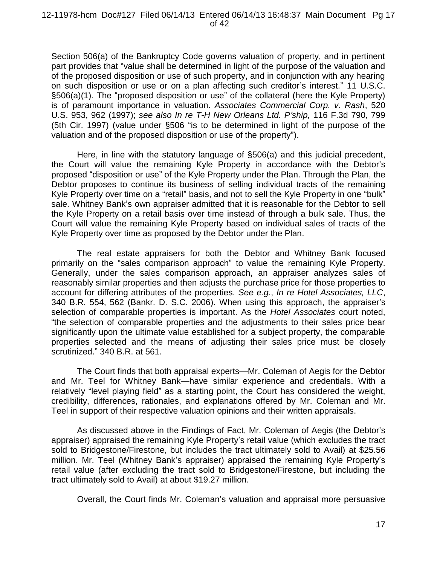Section 506(a) of the Bankruptcy Code governs valuation of property, and in pertinent part provides that "value shall be determined in light of the purpose of the valuation and of the proposed disposition or use of such property, and in conjunction with any hearing on such disposition or use or on a plan affecting such creditor's interest." 11 U.S.C. §506(a)(1). The "proposed disposition or use" of the collateral (here the Kyle Property) is of paramount importance in valuation. *Associates Commercial Corp. v. Rash*, 520 U.S. 953, 962 (1997); *see also In re T-H New Orleans Ltd. P'ship,* 116 F.3d 790, 799 (5th Cir. 1997) (value under §506 "is to be determined in light of the purpose of the valuation and of the proposed disposition or use of the property").

Here, in line with the statutory language of §506(a) and this judicial precedent, the Court will value the remaining Kyle Property in accordance with the Debtor's proposed "disposition or use" of the Kyle Property under the Plan. Through the Plan, the Debtor proposes to continue its business of selling individual tracts of the remaining Kyle Property over time on a "retail" basis, and not to sell the Kyle Property in one "bulk" sale. Whitney Bank's own appraiser admitted that it is reasonable for the Debtor to sell the Kyle Property on a retail basis over time instead of through a bulk sale. Thus, the Court will value the remaining Kyle Property based on individual sales of tracts of the Kyle Property over time as proposed by the Debtor under the Plan.

The real estate appraisers for both the Debtor and Whitney Bank focused primarily on the "sales comparison approach" to value the remaining Kyle Property. Generally, under the sales comparison approach, an appraiser analyzes sales of reasonably similar properties and then adjusts the purchase price for those properties to account for differing attributes of the properties. *See e.g.*, *In re Hotel Associates, LLC*, 340 B.R. 554, 562 (Bankr. D. S.C. 2006). When using this approach, the appraiser's selection of comparable properties is important. As the *Hotel Associates* court noted, "the selection of comparable properties and the adjustments to their sales price bear significantly upon the ultimate value established for a subject property, the comparable properties selected and the means of adjusting their sales price must be closely scrutinized." 340 B.R. at 561.

The Court finds that both appraisal experts—Mr. Coleman of Aegis for the Debtor and Mr. Teel for Whitney Bank—have similar experience and credentials. With a relatively "level playing field" as a starting point, the Court has considered the weight, credibility, differences, rationales, and explanations offered by Mr. Coleman and Mr. Teel in support of their respective valuation opinions and their written appraisals.

As discussed above in the Findings of Fact, Mr. Coleman of Aegis (the Debtor's appraiser) appraised the remaining Kyle Property's retail value (which excludes the tract sold to Bridgestone/Firestone, but includes the tract ultimately sold to Avail) at \$25.56 million. Mr. Teel (Whitney Bank's appraiser) appraised the remaining Kyle Property's retail value (after excluding the tract sold to Bridgestone/Firestone, but including the tract ultimately sold to Avail) at about \$19.27 million.

Overall, the Court finds Mr. Coleman's valuation and appraisal more persuasive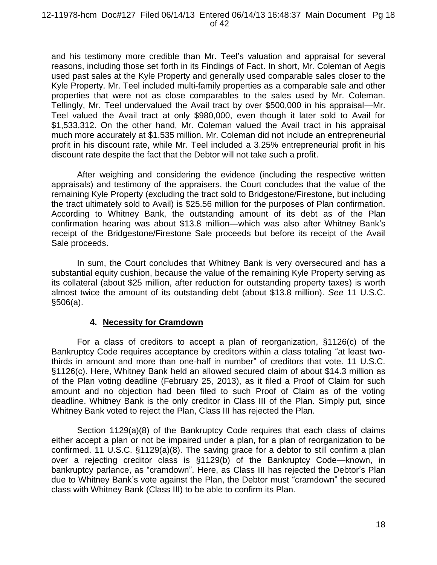and his testimony more credible than Mr. Teel's valuation and appraisal for several reasons, including those set forth in its Findings of Fact. In short, Mr. Coleman of Aegis used past sales at the Kyle Property and generally used comparable sales closer to the Kyle Property. Mr. Teel included multi-family properties as a comparable sale and other properties that were not as close comparables to the sales used by Mr. Coleman. Tellingly, Mr. Teel undervalued the Avail tract by over \$500,000 in his appraisal—Mr. Teel valued the Avail tract at only \$980,000, even though it later sold to Avail for \$1,533,312. On the other hand, Mr. Coleman valued the Avail tract in his appraisal much more accurately at \$1.535 million. Mr. Coleman did not include an entrepreneurial profit in his discount rate, while Mr. Teel included a 3.25% entrepreneurial profit in his discount rate despite the fact that the Debtor will not take such a profit.

After weighing and considering the evidence (including the respective written appraisals) and testimony of the appraisers, the Court concludes that the value of the remaining Kyle Property (excluding the tract sold to Bridgestone/Firestone, but including the tract ultimately sold to Avail) is \$25.56 million for the purposes of Plan confirmation. According to Whitney Bank, the outstanding amount of its debt as of the Plan confirmation hearing was about \$13.8 million—which was also after Whitney Bank's receipt of the Bridgestone/Firestone Sale proceeds but before its receipt of the Avail Sale proceeds.

In sum, the Court concludes that Whitney Bank is very oversecured and has a substantial equity cushion, because the value of the remaining Kyle Property serving as its collateral (about \$25 million, after reduction for outstanding property taxes) is worth almost twice the amount of its outstanding debt (about \$13.8 million). *See* 11 U.S.C. §506(a).

## **4. Necessity for Cramdown**

For a class of creditors to accept a plan of reorganization, §1126(c) of the Bankruptcy Code requires acceptance by creditors within a class totaling "at least twothirds in amount and more than one-half in number" of creditors that vote. 11 U.S.C. §1126(c). Here, Whitney Bank held an allowed secured claim of about \$14.3 million as of the Plan voting deadline (February 25, 2013), as it filed a Proof of Claim for such amount and no objection had been filed to such Proof of Claim as of the voting deadline. Whitney Bank is the only creditor in Class III of the Plan. Simply put, since Whitney Bank voted to reject the Plan, Class III has rejected the Plan.

Section 1129(a)(8) of the Bankruptcy Code requires that each class of claims either accept a plan or not be impaired under a plan, for a plan of reorganization to be confirmed. 11 U.S.C. §1129(a)(8). The saving grace for a debtor to still confirm a plan over a rejecting creditor class is §1129(b) of the Bankruptcy Code—known, in bankruptcy parlance, as "cramdown". Here, as Class III has rejected the Debtor's Plan due to Whitney Bank's vote against the Plan, the Debtor must "cramdown" the secured class with Whitney Bank (Class III) to be able to confirm its Plan.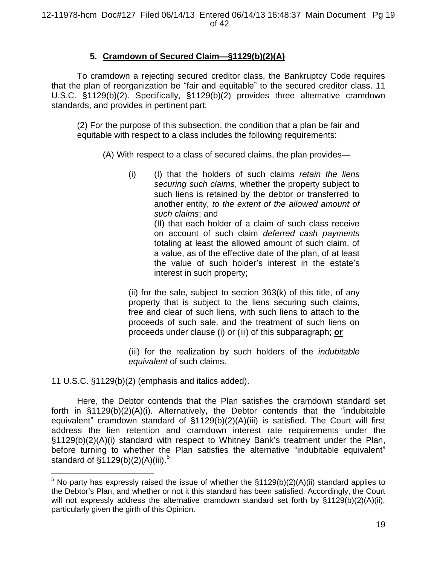# **5. Cramdown of Secured Claim—§1129(b)(2)(A)**

To cramdown a rejecting secured creditor class, the Bankruptcy Code requires that the plan of reorganization be "fair and equitable" to the secured creditor class. 11 U.S.C. §1129(b)(2). Specifically, §1129(b)(2) provides three alternative cramdown standards, and provides in pertinent part:

(2) For the purpose of this subsection, the condition that a plan be fair and equitable with respect to a class includes the following requirements:

(A) With respect to a class of secured claims, the plan provides—

(i) (I) that the holders of such claims *retain the liens securing such claims*, whether the property subject to such liens is retained by the debtor or transferred to another entity, *to the extent of the allowed amount of such claims*; and (II) that each holder of a claim of such class receive

on account of such claim *deferred cash payments* totaling at least the allowed amount of such claim, of a value, as of the effective date of the plan, of at least the value of such holder's interest in the estate's interest in such property;

(ii) for the sale, subject to section 363(k) of this title, of any property that is subject to the liens securing such claims, free and clear of such liens, with such liens to attach to the proceeds of such sale, and the treatment of such liens on proceeds under clause (i) or (iii) of this subparagraph; **or**

(iii) for the realization by such holders of the *indubitable equivalent* of such claims.

11 U.S.C. §1129(b)(2) (emphasis and italics added).

 $\overline{a}$ 

Here, the Debtor contends that the Plan satisfies the cramdown standard set forth in §1129(b)(2)(A)(i). Alternatively, the Debtor contends that the "indubitable equivalent" cramdown standard of §1129(b)(2)(A)(iii) is satisfied. The Court will first address the lien retention and cramdown interest rate requirements under the §1129(b)(2)(A)(i) standard with respect to Whitney Bank's treatment under the Plan, before turning to whether the Plan satisfies the alternative "indubitable equivalent" standard of §1129(b)(2)(A)(iii).<sup>5</sup>

 $5$  No party has expressly raised the issue of whether the  $\S1129(b)(2)(A)(ii)$  standard applies to the Debtor's Plan, and whether or not it this standard has been satisfied. Accordingly, the Court will not expressly address the alternative cramdown standard set forth by  $\S1129(b)(2)(A)(ii)$ , particularly given the girth of this Opinion.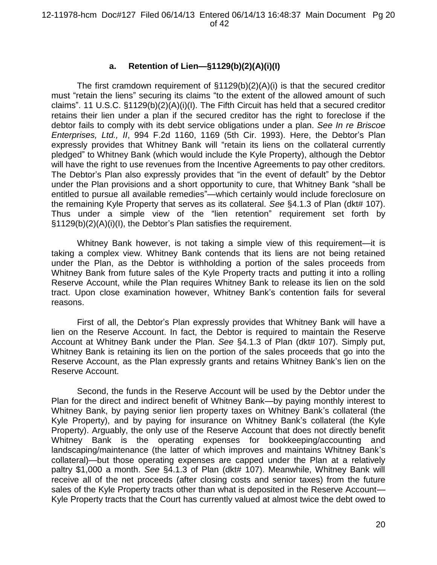# **a. Retention of Lien—§1129(b)(2)(A)(i)(I)**

The first cramdown requirement of  $\S1129(b)(2)(A)(i)$  is that the secured creditor must "retain the liens" securing its claims "to the extent of the allowed amount of such claims". 11 U.S.C. §1129(b)(2)(A)(i)(I). The Fifth Circuit has held that a secured creditor retains their lien under a plan if the secured creditor has the right to foreclose if the debtor fails to comply with its debt service obligations under a plan. *See In re Briscoe Enterprises, Ltd., II*, 994 F.2d 1160, 1169 (5th Cir. 1993). Here, the Debtor's Plan expressly provides that Whitney Bank will "retain its liens on the collateral currently pledged" to Whitney Bank (which would include the Kyle Property), although the Debtor will have the right to use revenues from the Incentive Agreements to pay other creditors. The Debtor's Plan also expressly provides that "in the event of default" by the Debtor under the Plan provisions and a short opportunity to cure, that Whitney Bank "shall be entitled to pursue all available remedies"—which certainly would include foreclosure on the remaining Kyle Property that serves as its collateral. *See* §4.1.3 of Plan (dkt# 107). Thus under a simple view of the "lien retention" requirement set forth by §1129(b)(2)(A)(i)(I), the Debtor's Plan satisfies the requirement.

Whitney Bank however, is not taking a simple view of this requirement—it is taking a complex view. Whitney Bank contends that its liens are not being retained under the Plan, as the Debtor is withholding a portion of the sales proceeds from Whitney Bank from future sales of the Kyle Property tracts and putting it into a rolling Reserve Account, while the Plan requires Whitney Bank to release its lien on the sold tract. Upon close examination however, Whitney Bank's contention fails for several reasons.

First of all, the Debtor's Plan expressly provides that Whitney Bank will have a lien on the Reserve Account. In fact, the Debtor is required to maintain the Reserve Account at Whitney Bank under the Plan. *See* §4.1.3 of Plan (dkt# 107). Simply put, Whitney Bank is retaining its lien on the portion of the sales proceeds that go into the Reserve Account, as the Plan expressly grants and retains Whitney Bank's lien on the Reserve Account.

Second, the funds in the Reserve Account will be used by the Debtor under the Plan for the direct and indirect benefit of Whitney Bank—by paying monthly interest to Whitney Bank, by paying senior lien property taxes on Whitney Bank's collateral (the Kyle Property), and by paying for insurance on Whitney Bank's collateral (the Kyle Property). Arguably, the only use of the Reserve Account that does not directly benefit Whitney Bank is the operating expenses for bookkeeping/accounting and landscaping/maintenance (the latter of which improves and maintains Whitney Bank's collateral)—but those operating expenses are capped under the Plan at a relatively paltry \$1,000 a month. *See* §4.1.3 of Plan (dkt# 107). Meanwhile, Whitney Bank will receive all of the net proceeds (after closing costs and senior taxes) from the future sales of the Kyle Property tracts other than what is deposited in the Reserve Account— Kyle Property tracts that the Court has currently valued at almost twice the debt owed to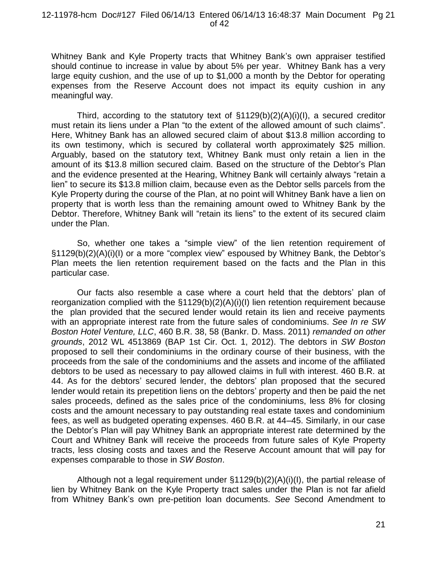Whitney Bank and Kyle Property tracts that Whitney Bank's own appraiser testified should continue to increase in value by about 5% per year. Whitney Bank has a very large equity cushion, and the use of up to \$1,000 a month by the Debtor for operating expenses from the Reserve Account does not impact its equity cushion in any meaningful way.

Third, according to the statutory text of  $\S1129(b)(2)(A)(i)(I)$ , a secured creditor must retain its liens under a Plan "to the extent of the allowed amount of such claims". Here, Whitney Bank has an allowed secured claim of about \$13.8 million according to its own testimony, which is secured by collateral worth approximately \$25 million. Arguably, based on the statutory text, Whitney Bank must only retain a lien in the amount of its \$13.8 million secured claim. Based on the structure of the Debtor's Plan and the evidence presented at the Hearing, Whitney Bank will certainly always "retain a lien" to secure its \$13.8 million claim, because even as the Debtor sells parcels from the Kyle Property during the course of the Plan, at no point will Whitney Bank have a lien on property that is worth less than the remaining amount owed to Whitney Bank by the Debtor. Therefore, Whitney Bank will "retain its liens" to the extent of its secured claim under the Plan.

So, whether one takes a "simple view" of the lien retention requirement of §1129(b)(2)(A)(i)(I) or a more "complex view" espoused by Whitney Bank, the Debtor's Plan meets the lien retention requirement based on the facts and the Plan in this particular case.

Our facts also resemble a case where a court held that the debtors' plan of reorganization complied with the §1129(b)(2)(A)(i)(I) lien retention requirement because the plan provided that the secured lender would retain its lien and receive payments with an appropriate interest rate from the future sales of condominiums. *See In re SW Boston Hotel Venture, LLC*, 460 B.R. 38, 58 (Bankr. D. Mass. 2011) *remanded on other grounds*, 2012 WL 4513869 (BAP 1st Cir. Oct. 1, 2012). The debtors in *SW Boston*  proposed to sell their condominiums in the ordinary course of their business, with the proceeds from the sale of the condominiums and the assets and income of the affiliated debtors to be used as necessary to pay allowed claims in full with interest. 460 B.R. at 44. As for the debtors' secured lender, the debtors' plan proposed that the secured lender would retain its prepetition liens on the debtors' property and then be paid the net sales proceeds, defined as the sales price of the condominiums, less 8% for closing costs and the amount necessary to pay outstanding real estate taxes and condominium fees, as well as budgeted operating expenses. 460 B.R. at 44–45. Similarly, in our case the Debtor's Plan will pay Whitney Bank an appropriate interest rate determined by the Court and Whitney Bank will receive the proceeds from future sales of Kyle Property tracts, less closing costs and taxes and the Reserve Account amount that will pay for expenses comparable to those in *SW Boston*.

Although not a legal requirement under §1129(b)(2)(A)(i)(I), the partial release of lien by Whitney Bank on the Kyle Property tract sales under the Plan is not far afield from Whitney Bank's own pre-petition loan documents. *See* Second Amendment to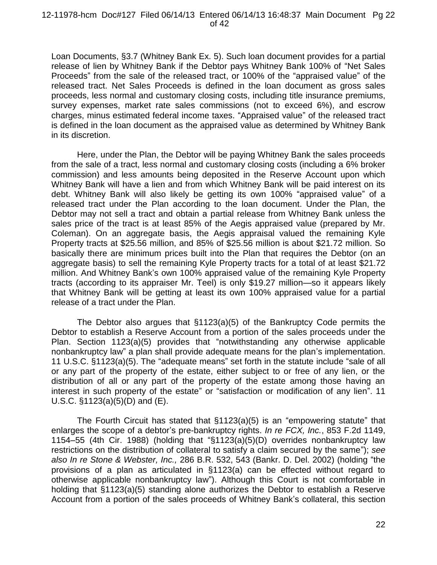#### 12-11978-hcm Doc#127 Filed 06/14/13 Entered 06/14/13 16:48:37 Main Document Pg 22 of 42

Loan Documents, §3.7 (Whitney Bank Ex. 5). Such loan document provides for a partial release of lien by Whitney Bank if the Debtor pays Whitney Bank 100% of "Net Sales Proceeds" from the sale of the released tract, or 100% of the "appraised value" of the released tract. Net Sales Proceeds is defined in the loan document as gross sales proceeds, less normal and customary closing costs, including title insurance premiums, survey expenses, market rate sales commissions (not to exceed 6%), and escrow charges, minus estimated federal income taxes. "Appraised value" of the released tract is defined in the loan document as the appraised value as determined by Whitney Bank in its discretion.

Here, under the Plan, the Debtor will be paying Whitney Bank the sales proceeds from the sale of a tract, less normal and customary closing costs (including a 6% broker commission) and less amounts being deposited in the Reserve Account upon which Whitney Bank will have a lien and from which Whitney Bank will be paid interest on its debt. Whitney Bank will also likely be getting its own 100% "appraised value" of a released tract under the Plan according to the loan document. Under the Plan, the Debtor may not sell a tract and obtain a partial release from Whitney Bank unless the sales price of the tract is at least 85% of the Aegis appraised value (prepared by Mr. Coleman). On an aggregate basis, the Aegis appraisal valued the remaining Kyle Property tracts at \$25.56 million, and 85% of \$25.56 million is about \$21.72 million. So basically there are minimum prices built into the Plan that requires the Debtor (on an aggregate basis) to sell the remaining Kyle Property tracts for a total of at least \$21.72 million. And Whitney Bank's own 100% appraised value of the remaining Kyle Property tracts (according to its appraiser Mr. Teel) is only \$19.27 million—so it appears likely that Whitney Bank will be getting at least its own 100% appraised value for a partial release of a tract under the Plan.

The Debtor also argues that §1123(a)(5) of the Bankruptcy Code permits the Debtor to establish a Reserve Account from a portion of the sales proceeds under the Plan. Section 1123(a)(5) provides that "notwithstanding any otherwise applicable nonbankruptcy law" a plan shall provide adequate means for the plan's implementation. 11 U.S.C. §1123(a)(5). The "adequate means" set forth in the statute include "sale of all or any part of the property of the estate, either subject to or free of any lien, or the distribution of all or any part of the property of the estate among those having an interest in such property of the estate" or "satisfaction or modification of any lien". 11 U.S.C. §1123(a)(5)(D) and (E).

The Fourth Circuit has stated that §1123(a)(5) is an "empowering statute" that enlarges the scope of a debtor's pre-bankruptcy rights. *In re FCX, Inc.*, 853 F.2d 1149, 1154–55 (4th Cir. 1988) (holding that "§1123(a)(5)(D) overrides nonbankruptcy law restrictions on the distribution of collateral to satisfy a claim secured by the same"); *see also In re Stone & Webster, Inc.,* 286 B.R. 532, 543 (Bankr. D. Del. 2002) (holding "the provisions of a plan as articulated in §1123(a) can be effected without regard to otherwise applicable nonbankruptcy law"). Although this Court is not comfortable in holding that §1123(a)(5) standing alone authorizes the Debtor to establish a Reserve Account from a portion of the sales proceeds of Whitney Bank's collateral, this section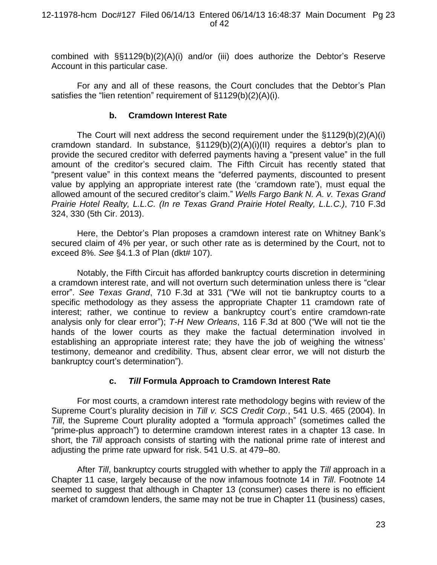combined with §§1129(b)(2)(A)(i) and/or (iii) does authorize the Debtor's Reserve Account in this particular case.

For any and all of these reasons, the Court concludes that the Debtor's Plan satisfies the "lien retention" requirement of §1129(b)(2)(A)(i).

## **b. Cramdown Interest Rate**

The Court will next address the second requirement under the §1129(b)(2)(A)(i) cramdown standard. In substance, §1129(b)(2)(A)(i)(II) requires a debtor's plan to provide the secured creditor with deferred payments having a "present value" in the full amount of the creditor's secured claim. The Fifth Circuit has recently stated that "present value" in this context means the "deferred payments, discounted to present value by applying an appropriate interest rate (the 'cramdown rate'), must equal the allowed amount of the secured creditor's claim." *Wells Fargo Bank N. A. v. Texas Grand Prairie Hotel Realty, L.L.C. (In re Texas Grand Prairie Hotel Realty, L.L.C.)*, 710 F.3d 324, 330 (5th Cir. 2013).

Here, the Debtor's Plan proposes a cramdown interest rate on Whitney Bank's secured claim of 4% per year, or such other rate as is determined by the Court, not to exceed 8%. *See* §4.1.3 of Plan (dkt# 107).

Notably, the Fifth Circuit has afforded bankruptcy courts discretion in determining a cramdown interest rate, and will not overturn such determination unless there is "clear error". *See Texas Grand*, 710 F.3d at 331 ("We will not tie bankruptcy courts to a specific methodology as they assess the appropriate Chapter 11 cramdown rate of interest; rather, we continue to review a bankruptcy court's entire cramdown-rate analysis only for clear error"); *T-H New Orleans*, 116 F.3d at 800 ("We will not tie the hands of the lower courts as they make the factual determination involved in establishing an appropriate interest rate; they have the job of weighing the witness' testimony, demeanor and credibility. Thus, absent clear error, we will not disturb the bankruptcy court's determination").

# **c.** *Till* **Formula Approach to Cramdown Interest Rate**

For most courts, a cramdown interest rate methodology begins with review of the Supreme Court's plurality decision in *Till v. SCS Credit Corp.*, 541 U.S. 465 (2004). In *Till*, the Supreme Court plurality adopted a "formula approach" (sometimes called the "prime-plus approach") to determine cramdown interest rates in a chapter 13 case. In short, the *Till* approach consists of starting with the national prime rate of interest and adjusting the prime rate upward for risk. 541 U.S. at 479–80.

After *Till*, bankruptcy courts struggled with whether to apply the *Till* approach in a Chapter 11 case, largely because of the now infamous footnote 14 in *Till*. Footnote 14 seemed to suggest that although in Chapter 13 (consumer) cases there is no efficient market of cramdown lenders, the same may not be true in Chapter 11 (business) cases,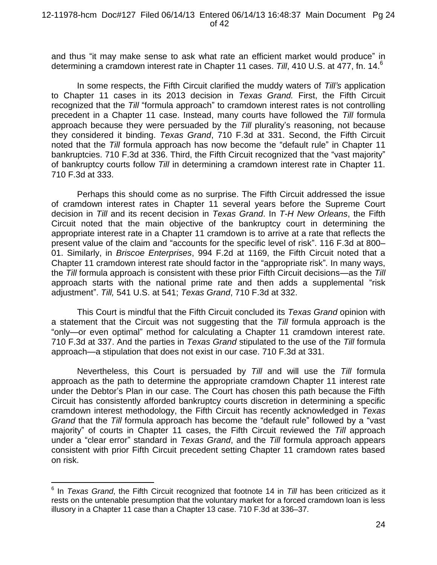and thus "it may make sense to ask what rate an efficient market would produce" in determining a cramdown interest rate in Chapter 11 cases. Till, 410 U.S. at 477, fn. 14.<sup>6</sup>

In some respects, the Fifth Circuit clarified the muddy waters of *Till's* application to Chapter 11 cases in its 2013 decision in *Texas Grand.* First, the Fifth Circuit recognized that the *Till* "formula approach" to cramdown interest rates is not controlling precedent in a Chapter 11 case. Instead, many courts have followed the *Till* formula approach because they were persuaded by the *Till* plurality's reasoning, not because they considered it binding. *Texas Grand*, 710 F.3d at 331. Second, the Fifth Circuit noted that the *Till* formula approach has now become the "default rule" in Chapter 11 bankruptcies. 710 F.3d at 336. Third, the Fifth Circuit recognized that the "vast majority" of bankruptcy courts follow *Till* in determining a cramdown interest rate in Chapter 11. 710 F.3d at 333.

Perhaps this should come as no surprise. The Fifth Circuit addressed the issue of cramdown interest rates in Chapter 11 several years before the Supreme Court decision in *Till* and its recent decision in *Texas Grand*. In *T-H New Orleans*, the Fifth Circuit noted that the main objective of the bankruptcy court in determining the appropriate interest rate in a Chapter 11 cramdown is to arrive at a rate that reflects the present value of the claim and "accounts for the specific level of risk". 116 F.3d at 800– 01. Similarly, in *Briscoe Enterprises*, 994 F.2d at 1169, the Fifth Circuit noted that a Chapter 11 cramdown interest rate should factor in the "appropriate risk"*.* In many ways, the *Till* formula approach is consistent with these prior Fifth Circuit decisions—as the *Till*  approach starts with the national prime rate and then adds a supplemental "risk adjustment". *Till,* 541 U.S. at 541; *Texas Grand*, 710 F.3d at 332.

This Court is mindful that the Fifth Circuit concluded its *Texas Grand* opinion with a statement that the Circuit was not suggesting that the *Till* formula approach is the "only—or even optimal" method for calculating a Chapter 11 cramdown interest rate. 710 F.3d at 337. And the parties in *Texas Grand* stipulated to the use of the *Till* formula approach—a stipulation that does not exist in our case. 710 F.3d at 331.

Nevertheless, this Court is persuaded by *Till* and will use the *Till* formula approach as the path to determine the appropriate cramdown Chapter 11 interest rate under the Debtor's Plan in our case. The Court has chosen this path because the Fifth Circuit has consistently afforded bankruptcy courts discretion in determining a specific cramdown interest methodology, the Fifth Circuit has recently acknowledged in *Texas Grand* that the *Till* formula approach has become the "default rule" followed by a "vast majority" of courts in Chapter 11 cases, the Fifth Circuit reviewed the *Till* approach under a "clear error" standard in *Texas Grand*, and the *Till* formula approach appears consistent with prior Fifth Circuit precedent setting Chapter 11 cramdown rates based on risk.

 $\overline{a}$ 

<sup>&</sup>lt;sup>6</sup> In *Texas Grand*, the Fifth Circuit recognized that footnote 14 in *Till* has been criticized as it rests on the untenable presumption that the voluntary market for a forced cramdown loan is less illusory in a Chapter 11 case than a Chapter 13 case. 710 F.3d at 336–37.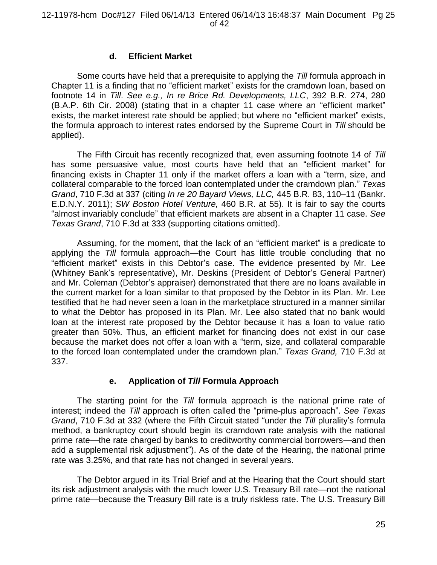## **d. Efficient Market**

Some courts have held that a prerequisite to applying the *Till* formula approach in Chapter 11 is a finding that no "efficient market" exists for the cramdown loan, based on footnote 14 in *Till*. *See e.g., In re Brice Rd. Developments, LLC*, 392 B.R. 274, 280 (B.A.P. 6th Cir. 2008) (stating that in a chapter 11 case where an "efficient market" exists, the market interest rate should be applied; but where no "efficient market" exists, the formula approach to interest rates endorsed by the Supreme Court in *Till* should be applied).

The Fifth Circuit has recently recognized that, even assuming footnote 14 of *Till* has some persuasive value, most courts have held that an "efficient market" for financing exists in Chapter 11 only if the market offers a loan with a "term, size, and collateral comparable to the forced loan contemplated under the cramdown plan." *Texas Grand*, 710 F.3d at 337 (citing *In re 20 Bayard Views, LLC,* 445 B.R. 83, 110–11 (Bankr. E.D.N.Y. 2011); *SW Boston Hotel Venture,* 460 B.R. at 55). It is fair to say the courts "almost invariably conclude" that efficient markets are absent in a Chapter 11 case. *See Texas Grand*, 710 F.3d at 333 (supporting citations omitted).

Assuming, for the moment, that the lack of an "efficient market" is a predicate to applying the *Till* formula approach—the Court has little trouble concluding that no "efficient market" exists in this Debtor's case. The evidence presented by Mr. Lee (Whitney Bank's representative), Mr. Deskins (President of Debtor's General Partner) and Mr. Coleman (Debtor's appraiser) demonstrated that there are no loans available in the current market for a loan similar to that proposed by the Debtor in its Plan. Mr. Lee testified that he had never seen a loan in the marketplace structured in a manner similar to what the Debtor has proposed in its Plan. Mr. Lee also stated that no bank would loan at the interest rate proposed by the Debtor because it has a loan to value ratio greater than 50%. Thus, an efficient market for financing does not exist in our case because the market does not offer a loan with a "term, size, and collateral comparable to the forced loan contemplated under the cramdown plan." *Texas Grand,* 710 F.3d at 337.

## **e. Application of** *Till* **Formula Approach**

The starting point for the *Till* formula approach is the national prime rate of interest; indeed the *Till* approach is often called the "prime-plus approach". *See Texas Grand*, 710 F.3d at 332 (where the Fifth Circuit stated "under the *Till* plurality's formula method, a bankruptcy court should begin its cramdown rate analysis with the national prime rate—the rate charged by banks to creditworthy commercial borrowers—and then add a supplemental risk adjustment"). As of the date of the Hearing, the national prime rate was 3.25%, and that rate has not changed in several years.

The Debtor argued in its Trial Brief and at the Hearing that the Court should start its risk adjustment analysis with the much lower U.S. Treasury Bill rate—not the national prime rate—because the Treasury Bill rate is a truly riskless rate. The U.S. Treasury Bill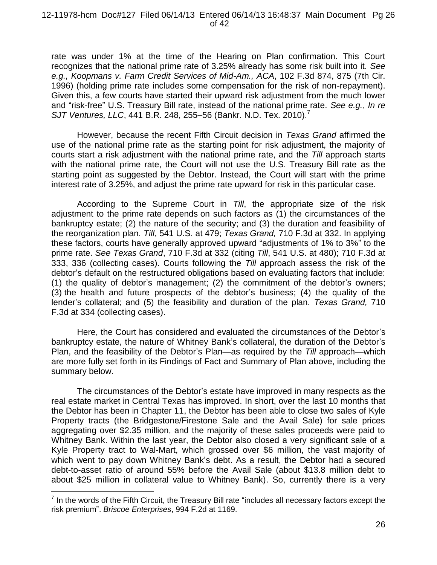#### 12-11978-hcm Doc#127 Filed 06/14/13 Entered 06/14/13 16:48:37 Main Document Pg 26 of 42

rate was under 1% at the time of the Hearing on Plan confirmation. This Court recognizes that the national prime rate of 3.25% already has some risk built into it. *See e.g., Koopmans v. Farm Credit Services of Mid-Am., ACA*, 102 F.3d 874, 875 (7th Cir. 1996) (holding prime rate includes some compensation for the risk of non-repayment). Given this, a few courts have started their upward risk adjustment from the much lower and "risk-free" U.S. Treasury Bill rate, instead of the national prime rate. *See e.g.*, *In re SJT Ventures, LLC, 441 B.R. 248, 255–56 (Bankr. N.D. Tex. 2010).*<sup>7</sup>

However, because the recent Fifth Circuit decision in *Texas Grand* affirmed the use of the national prime rate as the starting point for risk adjustment, the majority of courts start a risk adjustment with the national prime rate, and the *Till* approach starts with the national prime rate, the Court will not use the U.S. Treasury Bill rate as the starting point as suggested by the Debtor. Instead, the Court will start with the prime interest rate of 3.25%, and adjust the prime rate upward for risk in this particular case.

According to the Supreme Court in *Till*, the appropriate size of the risk adjustment to the prime rate depends on such factors as (1) the circumstances of the bankruptcy estate; (2) the nature of the security; and (3) the duration and feasibility of the reorganization plan. *Till*, 541 U.S. at 479; *Texas Grand,* 710 F.3d at 332. In applying these factors, courts have generally approved upward "adjustments of 1% to 3%" to the prime rate. *See Texas Grand*, 710 F.3d at 332 (citing *Till*, 541 U.S. at 480); 710 F.3d at 333, 336 (collecting cases). Courts following the *Till a*pproach assess the risk of the debtor's default on the restructured obligations based on evaluating factors that include: (1) the quality of debtor's management; (2) the commitment of the debtor's owners; (3) the health and future prospects of the debtor's business; (4) the quality of the lender's collateral; and (5) the feasibility and duration of the plan. *Texas Grand,* 710 F.3d at 334 (collecting cases).

Here, the Court has considered and evaluated the circumstances of the Debtor's bankruptcy estate, the nature of Whitney Bank's collateral, the duration of the Debtor's Plan, and the feasibility of the Debtor's Plan—as required by the *Till* approach—which are more fully set forth in its Findings of Fact and Summary of Plan above, including the summary below.

The circumstances of the Debtor's estate have improved in many respects as the real estate market in Central Texas has improved. In short, over the last 10 months that the Debtor has been in Chapter 11, the Debtor has been able to close two sales of Kyle Property tracts (the Bridgestone/Firestone Sale and the Avail Sale) for sale prices aggregating over \$2.35 million, and the majority of these sales proceeds were paid to Whitney Bank. Within the last year, the Debtor also closed a very significant sale of a Kyle Property tract to Wal-Mart, which grossed over \$6 million, the vast majority of which went to pay down Whitney Bank's debt. As a result, the Debtor had a secured debt-to-asset ratio of around 55% before the Avail Sale (about \$13.8 million debt to about \$25 million in collateral value to Whitney Bank). So, currently there is a very

 $\overline{a}$ 

 $<sup>7</sup>$  In the words of the Fifth Circuit, the Treasury Bill rate "includes all necessary factors except the</sup> risk premium". *Briscoe Enterprises*, 994 F.2d at 1169.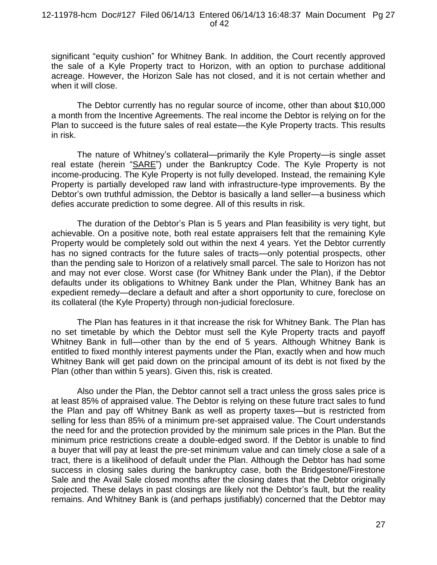significant "equity cushion" for Whitney Bank. In addition, the Court recently approved the sale of a Kyle Property tract to Horizon, with an option to purchase additional acreage. However, the Horizon Sale has not closed, and it is not certain whether and when it will close.

The Debtor currently has no regular source of income, other than about \$10,000 a month from the Incentive Agreements. The real income the Debtor is relying on for the Plan to succeed is the future sales of real estate—the Kyle Property tracts. This results in risk.

The nature of Whitney's collateral—primarily the Kyle Property—is single asset real estate (herein "SARE") under the Bankruptcy Code. The Kyle Property is not income-producing. The Kyle Property is not fully developed. Instead, the remaining Kyle Property is partially developed raw land with infrastructure-type improvements. By the Debtor's own truthful admission, the Debtor is basically a land seller—a business which defies accurate prediction to some degree. All of this results in risk.

The duration of the Debtor's Plan is 5 years and Plan feasibility is very tight, but achievable. On a positive note, both real estate appraisers felt that the remaining Kyle Property would be completely sold out within the next 4 years. Yet the Debtor currently has no signed contracts for the future sales of tracts—only potential prospects, other than the pending sale to Horizon of a relatively small parcel. The sale to Horizon has not and may not ever close. Worst case (for Whitney Bank under the Plan), if the Debtor defaults under its obligations to Whitney Bank under the Plan, Whitney Bank has an expedient remedy—declare a default and after a short opportunity to cure, foreclose on its collateral (the Kyle Property) through non-judicial foreclosure.

The Plan has features in it that increase the risk for Whitney Bank. The Plan has no set timetable by which the Debtor must sell the Kyle Property tracts and payoff Whitney Bank in full—other than by the end of 5 years. Although Whitney Bank is entitled to fixed monthly interest payments under the Plan, exactly when and how much Whitney Bank will get paid down on the principal amount of its debt is not fixed by the Plan (other than within 5 years). Given this, risk is created.

Also under the Plan, the Debtor cannot sell a tract unless the gross sales price is at least 85% of appraised value. The Debtor is relying on these future tract sales to fund the Plan and pay off Whitney Bank as well as property taxes—but is restricted from selling for less than 85% of a minimum pre-set appraised value. The Court understands the need for and the protection provided by the minimum sale prices in the Plan. But the minimum price restrictions create a double-edged sword. If the Debtor is unable to find a buyer that will pay at least the pre-set minimum value and can timely close a sale of a tract, there is a likelihood of default under the Plan. Although the Debtor has had some success in closing sales during the bankruptcy case, both the Bridgestone/Firestone Sale and the Avail Sale closed months after the closing dates that the Debtor originally projected. These delays in past closings are likely not the Debtor's fault, but the reality remains. And Whitney Bank is (and perhaps justifiably) concerned that the Debtor may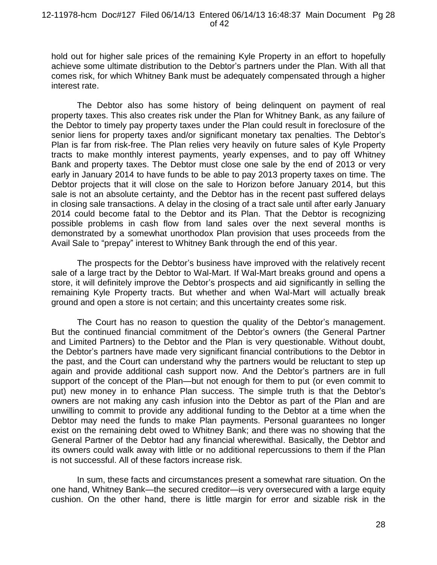hold out for higher sale prices of the remaining Kyle Property in an effort to hopefully achieve some ultimate distribution to the Debtor's partners under the Plan. With all that comes risk, for which Whitney Bank must be adequately compensated through a higher interest rate.

The Debtor also has some history of being delinquent on payment of real property taxes. This also creates risk under the Plan for Whitney Bank, as any failure of the Debtor to timely pay property taxes under the Plan could result in foreclosure of the senior liens for property taxes and/or significant monetary tax penalties. The Debtor's Plan is far from risk-free. The Plan relies very heavily on future sales of Kyle Property tracts to make monthly interest payments, yearly expenses, and to pay off Whitney Bank and property taxes. The Debtor must close one sale by the end of 2013 or very early in January 2014 to have funds to be able to pay 2013 property taxes on time. The Debtor projects that it will close on the sale to Horizon before January 2014, but this sale is not an absolute certainty, and the Debtor has in the recent past suffered delays in closing sale transactions. A delay in the closing of a tract sale until after early January 2014 could become fatal to the Debtor and its Plan. That the Debtor is recognizing possible problems in cash flow from land sales over the next several months is demonstrated by a somewhat unorthodox Plan provision that uses proceeds from the Avail Sale to "prepay" interest to Whitney Bank through the end of this year.

The prospects for the Debtor's business have improved with the relatively recent sale of a large tract by the Debtor to Wal-Mart. If Wal-Mart breaks ground and opens a store, it will definitely improve the Debtor's prospects and aid significantly in selling the remaining Kyle Property tracts. But whether and when Wal-Mart will actually break ground and open a store is not certain; and this uncertainty creates some risk.

The Court has no reason to question the quality of the Debtor's management. But the continued financial commitment of the Debtor's owners (the General Partner and Limited Partners) to the Debtor and the Plan is very questionable. Without doubt, the Debtor's partners have made very significant financial contributions to the Debtor in the past, and the Court can understand why the partners would be reluctant to step up again and provide additional cash support now. And the Debtor's partners are in full support of the concept of the Plan—but not enough for them to put (or even commit to put) new money in to enhance Plan success. The simple truth is that the Debtor's owners are not making any cash infusion into the Debtor as part of the Plan and are unwilling to commit to provide any additional funding to the Debtor at a time when the Debtor may need the funds to make Plan payments. Personal guarantees no longer exist on the remaining debt owed to Whitney Bank; and there was no showing that the General Partner of the Debtor had any financial wherewithal. Basically, the Debtor and its owners could walk away with little or no additional repercussions to them if the Plan is not successful. All of these factors increase risk.

In sum, these facts and circumstances present a somewhat rare situation. On the one hand, Whitney Bank—the secured creditor—is very oversecured with a large equity cushion. On the other hand, there is little margin for error and sizable risk in the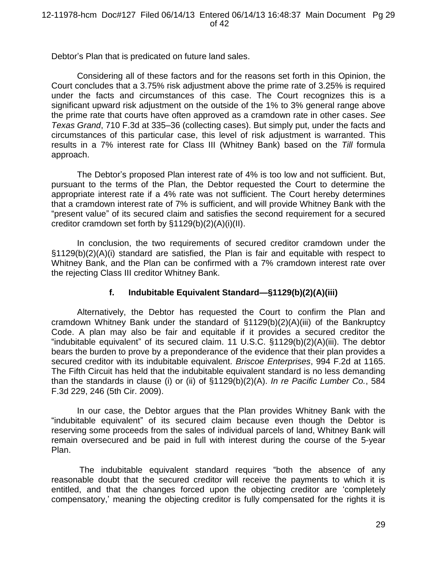Debtor's Plan that is predicated on future land sales.

Considering all of these factors and for the reasons set forth in this Opinion, the Court concludes that a 3.75% risk adjustment above the prime rate of 3.25% is required under the facts and circumstances of this case. The Court recognizes this is a significant upward risk adjustment on the outside of the 1% to 3% general range above the prime rate that courts have often approved as a cramdown rate in other cases. *See Texas Grand*, 710 F.3d at 335–36 (collecting cases). But simply put, under the facts and circumstances of this particular case, this level of risk adjustment is warranted. This results in a 7% interest rate for Class III (Whitney Bank) based on the *Till* formula approach.

The Debtor's proposed Plan interest rate of 4% is too low and not sufficient. But, pursuant to the terms of the Plan, the Debtor requested the Court to determine the appropriate interest rate if a 4% rate was not sufficient. The Court hereby determines that a cramdown interest rate of 7% is sufficient, and will provide Whitney Bank with the "present value" of its secured claim and satisfies the second requirement for a secured creditor cramdown set forth by §1129(b)(2)(A)(i)(II).

In conclusion, the two requirements of secured creditor cramdown under the §1129(b)(2)(A)(i) standard are satisfied, the Plan is fair and equitable with respect to Whitney Bank, and the Plan can be confirmed with a 7% cramdown interest rate over the rejecting Class III creditor Whitney Bank.

# **f. Indubitable Equivalent Standard—§1129(b)(2)(A)(iii)**

Alternatively, the Debtor has requested the Court to confirm the Plan and cramdown Whitney Bank under the standard of §1129(b)(2)(A)(iii) of the Bankruptcy Code. A plan may also be fair and equitable if it provides a secured creditor the "indubitable equivalent" of its secured claim. 11 U.S.C. §1129(b)(2)(A)(iii). The debtor bears the burden to prove by a preponderance of the evidence that their plan provides a secured creditor with its indubitable equivalent. *Briscoe Enterprises*, 994 F.2d at 1165. The Fifth Circuit has held that the indubitable equivalent standard is no less demanding than the standards in clause (i) or (ii) of §1129(b)(2)(A). *In re Pacific Lumber Co.*, 584 F.3d 229, 246 (5th Cir. 2009).

In our case, the Debtor argues that the Plan provides Whitney Bank with the "indubitable equivalent" of its secured claim because even though the Debtor is reserving some proceeds from the sales of individual parcels of land, Whitney Bank will remain oversecured and be paid in full with interest during the course of the 5-year Plan.

The indubitable equivalent standard requires "both the absence of any reasonable doubt that the secured creditor will receive the payments to which it is entitled, and that the changes forced upon the objecting creditor are 'completely compensatory,' meaning the objecting creditor is fully compensated for the rights it is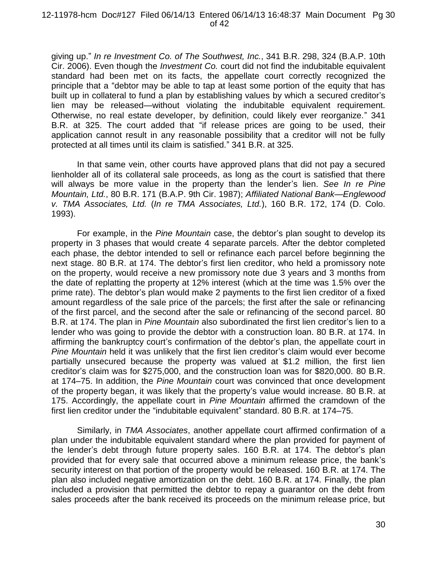giving up." *In re Investment Co. of The Southwest, Inc.*, 341 B.R. 298, 324 (B.A.P. 10th Cir. 2006). Even though the *Investment Co.* court did not find the indubitable equivalent standard had been met on its facts, the appellate court correctly recognized the principle that a "debtor may be able to tap at least some portion of the equity that has built up in collateral to fund a plan by establishing values by which a secured creditor's lien may be released—without violating the indubitable equivalent requirement. Otherwise, no real estate developer, by definition, could likely ever reorganize." 341 B.R. at 325. The court added that "if release prices are going to be used, their application cannot result in any reasonable possibility that a creditor will not be fully protected at all times until its claim is satisfied." 341 B.R. at 325.

In that same vein, other courts have approved plans that did not pay a secured lienholder all of its collateral sale proceeds, as long as the court is satisfied that there will always be more value in the property than the lender's lien. *See In re Pine Mountain, Ltd.*, 80 B.R. 171 (B.A.P. 9th Cir. 1987); *Affiliated National Bank—Englewood v. TMA Associates, Ltd.* (*In re TMA Associates, Ltd.*), 160 B.R. 172, 174 (D. Colo. 1993).

For example, in the *Pine Mountain* case, the debtor's plan sought to develop its property in 3 phases that would create 4 separate parcels. After the debtor completed each phase, the debtor intended to sell or refinance each parcel before beginning the next stage. 80 B.R. at 174. The debtor's first lien creditor, who held a promissory note on the property, would receive a new promissory note due 3 years and 3 months from the date of replatting the property at 12% interest (which at the time was 1.5% over the prime rate). The debtor's plan would make 2 payments to the first lien creditor of a fixed amount regardless of the sale price of the parcels; the first after the sale or refinancing of the first parcel, and the second after the sale or refinancing of the second parcel. 80 B.R. at 174. The plan in *Pine Mountain* also subordinated the first lien creditor's lien to a lender who was going to provide the debtor with a construction loan. 80 B.R. at 174. In affirming the bankruptcy court's confirmation of the debtor's plan, the appellate court in *Pine Mountain* held it was unlikely that the first lien creditor's claim would ever become partially unsecured because the property was valued at \$1.2 million, the first lien creditor's claim was for \$275,000, and the construction loan was for \$820,000. 80 B.R. at 174–75. In addition, the *Pine Mountain* court was convinced that once development of the property began, it was likely that the property's value would increase. 80 B.R. at 175. Accordingly, the appellate court in *Pine Mountain* affirmed the cramdown of the first lien creditor under the "indubitable equivalent" standard. 80 B.R. at 174–75.

Similarly, in *TMA Associates*, another appellate court affirmed confirmation of a plan under the indubitable equivalent standard where the plan provided for payment of the lender's debt through future property sales. 160 B.R. at 174. The debtor's plan provided that for every sale that occurred above a minimum release price, the bank's security interest on that portion of the property would be released. 160 B.R. at 174. The plan also included negative amortization on the debt. 160 B.R. at 174. Finally, the plan included a provision that permitted the debtor to repay a guarantor on the debt from sales proceeds after the bank received its proceeds on the minimum release price, but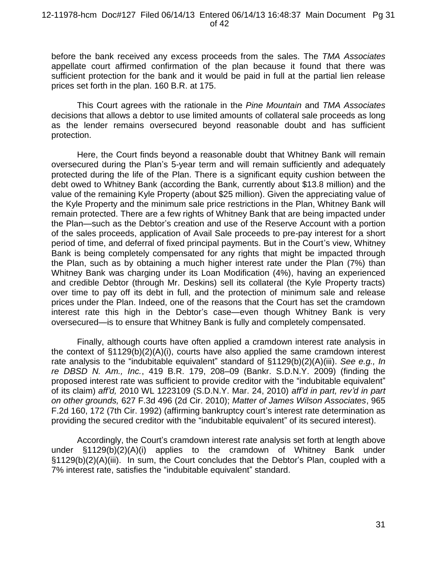#### 12-11978-hcm Doc#127 Filed 06/14/13 Entered 06/14/13 16:48:37 Main Document Pg 31 of 42

before the bank received any excess proceeds from the sales. The *TMA Associates* appellate court affirmed confirmation of the plan because it found that there was sufficient protection for the bank and it would be paid in full at the partial lien release prices set forth in the plan. 160 B.R. at 175.

This Court agrees with the rationale in the *Pine Mountain* and *TMA Associates*  decisions that allows a debtor to use limited amounts of collateral sale proceeds as long as the lender remains oversecured beyond reasonable doubt and has sufficient protection.

Here, the Court finds beyond a reasonable doubt that Whitney Bank will remain oversecured during the Plan's 5-year term and will remain sufficiently and adequately protected during the life of the Plan. There is a significant equity cushion between the debt owed to Whitney Bank (according the Bank, currently about \$13.8 million) and the value of the remaining Kyle Property (about \$25 million). Given the appreciating value of the Kyle Property and the minimum sale price restrictions in the Plan, Whitney Bank will remain protected. There are a few rights of Whitney Bank that are being impacted under the Plan—such as the Debtor's creation and use of the Reserve Account with a portion of the sales proceeds, application of Avail Sale proceeds to pre-pay interest for a short period of time, and deferral of fixed principal payments. But in the Court's view, Whitney Bank is being completely compensated for any rights that might be impacted through the Plan, such as by obtaining a much higher interest rate under the Plan (7%) than Whitney Bank was charging under its Loan Modification (4%), having an experienced and credible Debtor (through Mr. Deskins) sell its collateral (the Kyle Property tracts) over time to pay off its debt in full, and the protection of minimum sale and release prices under the Plan. Indeed, one of the reasons that the Court has set the cramdown interest rate this high in the Debtor's case—even though Whitney Bank is very oversecured—is to ensure that Whitney Bank is fully and completely compensated.

Finally, although courts have often applied a cramdown interest rate analysis in the context of §1129(b)(2)(A)(i), courts have also applied the same cramdown interest rate analysis to the "indubitable equivalent" standard of §1129(b)(2)(A)(iii). *See e.g., In re DBSD N. Am., Inc.*, 419 B.R. 179, 208–09 (Bankr. S.D.N.Y. 2009) (finding the proposed interest rate was sufficient to provide creditor with the "indubitable equivalent" of its claim) *aff'd,* 2010 WL 1223109 (S.D.N.Y. Mar. 24, 2010) *aff'd in part, rev'd in part on other grounds,* 627 F.3d 496 (2d Cir. 2010); *Matter of James Wilson Associates*, 965 F.2d 160, 172 (7th Cir. 1992) (affirming bankruptcy court's interest rate determination as providing the secured creditor with the "indubitable equivalent" of its secured interest).

Accordingly, the Court's cramdown interest rate analysis set forth at length above under §1129(b)(2)(A)(i) applies to the cramdown of Whitney Bank under §1129(b)(2)(A)(iii). In sum, the Court concludes that the Debtor's Plan, coupled with a 7% interest rate, satisfies the "indubitable equivalent" standard.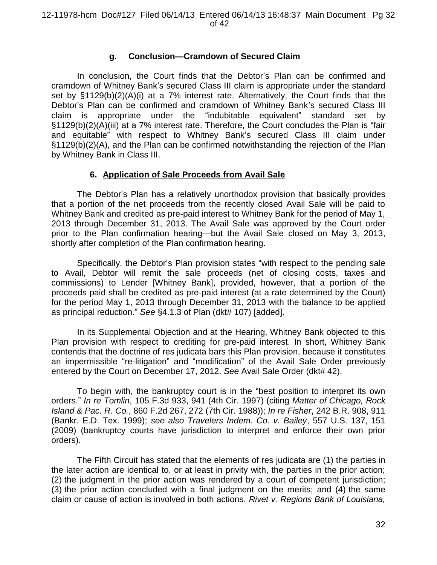## **g. Conclusion—Cramdown of Secured Claim**

In conclusion, the Court finds that the Debtor's Plan can be confirmed and cramdown of Whitney Bank's secured Class III claim is appropriate under the standard set by §1129(b)(2)(A)(i) at a 7% interest rate. Alternatively, the Court finds that the Debtor's Plan can be confirmed and cramdown of Whitney Bank's secured Class III claim is appropriate under the "indubitable equivalent" standard set by §1129(b)(2)(A)(iii) at a 7% interest rate. Therefore, the Court concludes the Plan is "fair and equitable" with respect to Whitney Bank's secured Class III claim under §1129(b)(2)(A), and the Plan can be confirmed notwithstanding the rejection of the Plan by Whitney Bank in Class III.

## **6. Application of Sale Proceeds from Avail Sale**

The Debtor's Plan has a relatively unorthodox provision that basically provides that a portion of the net proceeds from the recently closed Avail Sale will be paid to Whitney Bank and credited as pre-paid interest to Whitney Bank for the period of May 1, 2013 through December 31, 2013. The Avail Sale was approved by the Court order prior to the Plan confirmation hearing—but the Avail Sale closed on May 3, 2013, shortly after completion of the Plan confirmation hearing.

Specifically, the Debtor's Plan provision states "with respect to the pending sale to Avail, Debtor will remit the sale proceeds (net of closing costs, taxes and commissions) to Lender [Whitney Bank], provided, however, that a portion of the proceeds paid shall be credited as pre-paid interest (at a rate determined by the Court) for the period May 1, 2013 through December 31, 2013 with the balance to be applied as principal reduction." *See* §4.1.3 of Plan (dkt# 107) [added].

In its Supplemental Objection and at the Hearing, Whitney Bank objected to this Plan provision with respect to crediting for pre-paid interest. In short, Whitney Bank contends that the doctrine of res judicata bars this Plan provision, because it constitutes an impermissible "re-litigation" and "modification" of the Avail Sale Order previously entered by the Court on December 17, 2012. *See* Avail Sale Order (dkt# 42).

To begin with, the bankruptcy court is in the "best position to interpret its own orders." *In re Tomlin*, 105 F.3d 933, 941 (4th Cir. 1997) (citing *Matter of Chicago, Rock Island & Pac. R. Co.*, 860 F.2d 267, 272 (7th Cir. 1988)); *In re Fisher*, 242 B.R. 908, 911 (Bankr. E.D. Tex. 1999); *see also Travelers Indem. Co. v. Bailey*, 557 U.S. 137, 151 (2009) (bankruptcy courts have jurisdiction to interpret and enforce their own prior orders).

The Fifth Circuit has stated that the elements of res judicata are (1) the parties in the later action are identical to, or at least in privity with, the parties in the prior action; (2) the judgment in the prior action was rendered by a court of competent jurisdiction; (3) the prior action concluded with a final judgment on the merits; and (4) the same claim or cause of action is involved in both actions. *Rivet v. Regions Bank of Louisiana,*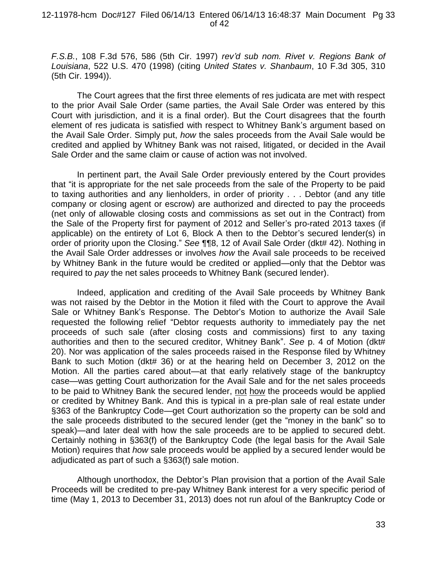*F.S.B.*, 108 F.3d 576, 586 (5th Cir. 1997) *rev'd sub nom. Rivet v. Regions Bank of Louisiana*, 522 U.S. 470 (1998) (citing *United States v. Shanbaum*, 10 F.3d 305, 310 (5th Cir. 1994)).

The Court agrees that the first three elements of res judicata are met with respect to the prior Avail Sale Order (same parties, the Avail Sale Order was entered by this Court with jurisdiction, and it is a final order). But the Court disagrees that the fourth element of res judicata is satisfied with respect to Whitney Bank's argument based on the Avail Sale Order. Simply put, *how* the sales proceeds from the Avail Sale would be credited and applied by Whitney Bank was not raised, litigated, or decided in the Avail Sale Order and the same claim or cause of action was not involved.

In pertinent part, the Avail Sale Order previously entered by the Court provides that "it is appropriate for the net sale proceeds from the sale of the Property to be paid to taxing authorities and any lienholders, in order of priority . . . Debtor (and any title company or closing agent or escrow) are authorized and directed to pay the proceeds (net only of allowable closing costs and commissions as set out in the Contract) from the Sale of the Property first for payment of 2012 and Seller's pro-rated 2013 taxes (if applicable) on the entirety of Lot 6, Block A then to the Debtor's secured lender(s) in order of priority upon the Closing." *See* ¶¶8, 12 of Avail Sale Order (dkt# 42). Nothing in the Avail Sale Order addresses or involves *how* the Avail sale proceeds to be received by Whitney Bank in the future would be credited or applied—only that the Debtor was required to *pay* the net sales proceeds to Whitney Bank (secured lender).

Indeed, application and crediting of the Avail Sale proceeds by Whitney Bank was not raised by the Debtor in the Motion it filed with the Court to approve the Avail Sale or Whitney Bank's Response. The Debtor's Motion to authorize the Avail Sale requested the following relief "Debtor requests authority to immediately pay the net proceeds of such sale (after closing costs and commissions) first to any taxing authorities and then to the secured creditor, Whitney Bank". *See* p. 4 of Motion (dkt# 20). Nor was application of the sales proceeds raised in the Response filed by Whitney Bank to such Motion (dkt# 36) or at the hearing held on December 3, 2012 on the Motion. All the parties cared about—at that early relatively stage of the bankruptcy case—was getting Court authorization for the Avail Sale and for the net sales proceeds to be paid to Whitney Bank the secured lender, not how the proceeds would be applied or credited by Whitney Bank. And this is typical in a pre-plan sale of real estate under §363 of the Bankruptcy Code—get Court authorization so the property can be sold and the sale proceeds distributed to the secured lender (get the "money in the bank" so to speak)—and later deal with how the sale proceeds are to be applied to secured debt. Certainly nothing in §363(f) of the Bankruptcy Code (the legal basis for the Avail Sale Motion) requires that *how* sale proceeds would be applied by a secured lender would be adjudicated as part of such a §363(f) sale motion.

Although unorthodox, the Debtor's Plan provision that a portion of the Avail Sale Proceeds will be credited to pre-pay Whitney Bank interest for a very specific period of time (May 1, 2013 to December 31, 2013) does not run afoul of the Bankruptcy Code or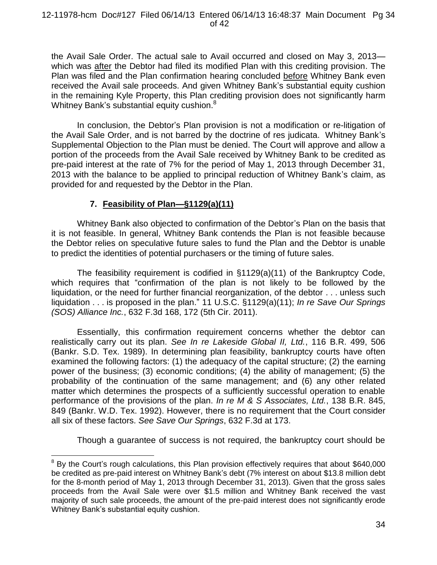#### 12-11978-hcm Doc#127 Filed 06/14/13 Entered 06/14/13 16:48:37 Main Document Pg 34 of 42

the Avail Sale Order. The actual sale to Avail occurred and closed on May 3, 2013 which was after the Debtor had filed its modified Plan with this crediting provision. The Plan was filed and the Plan confirmation hearing concluded before Whitney Bank even received the Avail sale proceeds. And given Whitney Bank's substantial equity cushion in the remaining Kyle Property, this Plan crediting provision does not significantly harm Whitney Bank's substantial equity cushion.<sup>8</sup>

In conclusion, the Debtor's Plan provision is not a modification or re-litigation of the Avail Sale Order, and is not barred by the doctrine of res judicata. Whitney Bank's Supplemental Objection to the Plan must be denied. The Court will approve and allow a portion of the proceeds from the Avail Sale received by Whitney Bank to be credited as pre-paid interest at the rate of 7% for the period of May 1, 2013 through December 31, 2013 with the balance to be applied to principal reduction of Whitney Bank's claim, as provided for and requested by the Debtor in the Plan.

# **7. Feasibility of Plan—§1129(a)(11)**

Whitney Bank also objected to confirmation of the Debtor's Plan on the basis that it is not feasible. In general, Whitney Bank contends the Plan is not feasible because the Debtor relies on speculative future sales to fund the Plan and the Debtor is unable to predict the identities of potential purchasers or the timing of future sales.

The feasibility requirement is codified in §1129(a)(11) of the Bankruptcy Code, which requires that "confirmation of the plan is not likely to be followed by the liquidation, or the need for further financial reorganization, of the debtor . . . unless such liquidation . . . is proposed in the plan." 11 U.S.C. §1129(a)(11); *In re Save Our Springs (SOS) Alliance Inc.*, 632 F.3d 168, 172 (5th Cir. 2011).

Essentially, this confirmation requirement concerns whether the debtor can realistically carry out its plan. *See In re Lakeside Global II, Ltd.*, 116 B.R. 499, 506 (Bankr. S.D. Tex. 1989). In determining plan feasibility, bankruptcy courts have often examined the following factors: (1) the adequacy of the capital structure; (2) the earning power of the business; (3) economic conditions; (4) the ability of management; (5) the probability of the continuation of the same management; and (6) any other related matter which determines the prospects of a sufficiently successful operation to enable performance of the provisions of the plan. *In re M & S Associates, Ltd.*, 138 B.R. 845, 849 (Bankr. W.D. Tex. 1992). However, there is no requirement that the Court consider all six of these factors. *See Save Our Springs*, 632 F.3d at 173.

Though a guarantee of success is not required, the bankruptcy court should be

 $\overline{a}$ By the Court's rough calculations, this Plan provision effectively requires that about \$640,000 be credited as pre-paid interest on Whitney Bank's debt (7% interest on about \$13.8 million debt for the 8-month period of May 1, 2013 through December 31, 2013). Given that the gross sales proceeds from the Avail Sale were over \$1.5 million and Whitney Bank received the vast majority of such sale proceeds, the amount of the pre-paid interest does not significantly erode Whitney Bank's substantial equity cushion.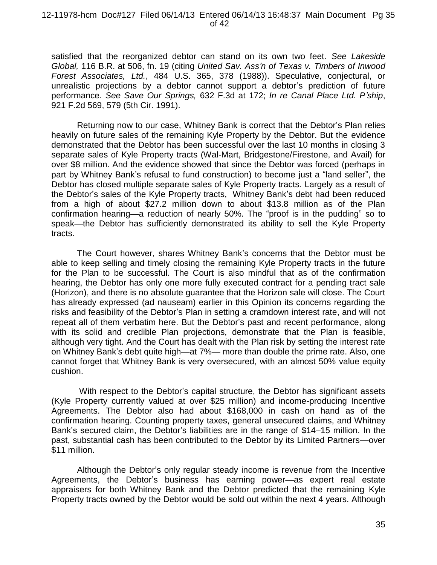#### 12-11978-hcm Doc#127 Filed 06/14/13 Entered 06/14/13 16:48:37 Main Document Pg 35 of 42

satisfied that the reorganized debtor can stand on its own two feet. *See Lakeside Global,* 116 B.R. at 506, fn. 19 (citing *United Sav. Ass'n of Texas v. Timbers of Inwood Forest Associates, Ltd.*, 484 U.S. 365, 378 (1988)). Speculative, conjectural, or unrealistic projections by a debtor cannot support a debtor's prediction of future performance. *See Save Our Springs,* 632 F.3d at 172; *In re Canal Place Ltd. P'ship*, 921 F.2d 569, 579 (5th Cir. 1991).

Returning now to our case, Whitney Bank is correct that the Debtor's Plan relies heavily on future sales of the remaining Kyle Property by the Debtor. But the evidence demonstrated that the Debtor has been successful over the last 10 months in closing 3 separate sales of Kyle Property tracts (Wal-Mart, Bridgestone/Firestone, and Avail) for over \$8 million. And the evidence showed that since the Debtor was forced (perhaps in part by Whitney Bank's refusal to fund construction) to become just a "land seller", the Debtor has closed multiple separate sales of Kyle Property tracts. Largely as a result of the Debtor's sales of the Kyle Property tracts, Whitney Bank's debt had been reduced from a high of about \$27.2 million down to about \$13.8 million as of the Plan confirmation hearing—a reduction of nearly 50%. The "proof is in the pudding" so to speak—the Debtor has sufficiently demonstrated its ability to sell the Kyle Property tracts.

The Court however, shares Whitney Bank's concerns that the Debtor must be able to keep selling and timely closing the remaining Kyle Property tracts in the future for the Plan to be successful. The Court is also mindful that as of the confirmation hearing, the Debtor has only one more fully executed contract for a pending tract sale (Horizon), and there is no absolute guarantee that the Horizon sale will close. The Court has already expressed (ad nauseam) earlier in this Opinion its concerns regarding the risks and feasibility of the Debtor's Plan in setting a cramdown interest rate, and will not repeat all of them verbatim here. But the Debtor's past and recent performance, along with its solid and credible Plan projections, demonstrate that the Plan is feasible, although very tight. And the Court has dealt with the Plan risk by setting the interest rate on Whitney Bank's debt quite high—at 7%— more than double the prime rate. Also, one cannot forget that Whitney Bank is very oversecured, with an almost 50% value equity cushion.

With respect to the Debtor's capital structure, the Debtor has significant assets (Kyle Property currently valued at over \$25 million) and income-producing Incentive Agreements. The Debtor also had about \$168,000 in cash on hand as of the confirmation hearing. Counting property taxes, general unsecured claims, and Whitney Bank's secured claim, the Debtor's liabilities are in the range of \$14–15 million. In the past, substantial cash has been contributed to the Debtor by its Limited Partners—over \$11 million.

Although the Debtor's only regular steady income is revenue from the Incentive Agreements, the Debtor's business has earning power—as expert real estate appraisers for both Whitney Bank and the Debtor predicted that the remaining Kyle Property tracts owned by the Debtor would be sold out within the next 4 years. Although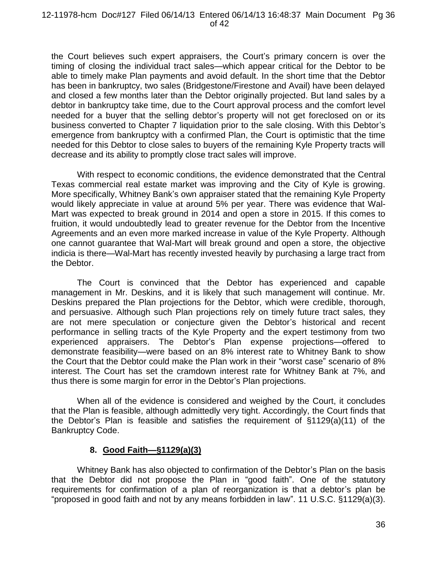the Court believes such expert appraisers, the Court's primary concern is over the timing of closing the individual tract sales—which appear critical for the Debtor to be able to timely make Plan payments and avoid default. In the short time that the Debtor has been in bankruptcy, two sales (Bridgestone/Firestone and Avail) have been delayed and closed a few months later than the Debtor originally projected. But land sales by a debtor in bankruptcy take time, due to the Court approval process and the comfort level needed for a buyer that the selling debtor's property will not get foreclosed on or its business converted to Chapter 7 liquidation prior to the sale closing. With this Debtor's emergence from bankruptcy with a confirmed Plan, the Court is optimistic that the time needed for this Debtor to close sales to buyers of the remaining Kyle Property tracts will decrease and its ability to promptly close tract sales will improve.

With respect to economic conditions, the evidence demonstrated that the Central Texas commercial real estate market was improving and the City of Kyle is growing. More specifically, Whitney Bank's own appraiser stated that the remaining Kyle Property would likely appreciate in value at around 5% per year. There was evidence that Wal-Mart was expected to break ground in 2014 and open a store in 2015. If this comes to fruition, it would undoubtedly lead to greater revenue for the Debtor from the Incentive Agreements and an even more marked increase in value of the Kyle Property. Although one cannot guarantee that Wal-Mart will break ground and open a store, the objective indicia is there—Wal-Mart has recently invested heavily by purchasing a large tract from the Debtor.

The Court is convinced that the Debtor has experienced and capable management in Mr. Deskins, and it is likely that such management will continue. Mr. Deskins prepared the Plan projections for the Debtor, which were credible, thorough, and persuasive. Although such Plan projections rely on timely future tract sales, they are not mere speculation or conjecture given the Debtor's historical and recent performance in selling tracts of the Kyle Property and the expert testimony from two experienced appraisers. The Debtor's Plan expense projections—offered to demonstrate feasibility—were based on an 8% interest rate to Whitney Bank to show the Court that the Debtor could make the Plan work in their "worst case" scenario of 8% interest. The Court has set the cramdown interest rate for Whitney Bank at 7%, and thus there is some margin for error in the Debtor's Plan projections.

When all of the evidence is considered and weighed by the Court, it concludes that the Plan is feasible, although admittedly very tight. Accordingly, the Court finds that the Debtor's Plan is feasible and satisfies the requirement of §1129(a)(11) of the Bankruptcy Code.

## **8. Good Faith—§1129(a)(3)**

Whitney Bank has also objected to confirmation of the Debtor's Plan on the basis that the Debtor did not propose the Plan in "good faith". One of the statutory requirements for confirmation of a plan of reorganization is that a debtor's plan be "proposed in good faith and not by any means forbidden in law". 11 U.S.C. §1129(a)(3).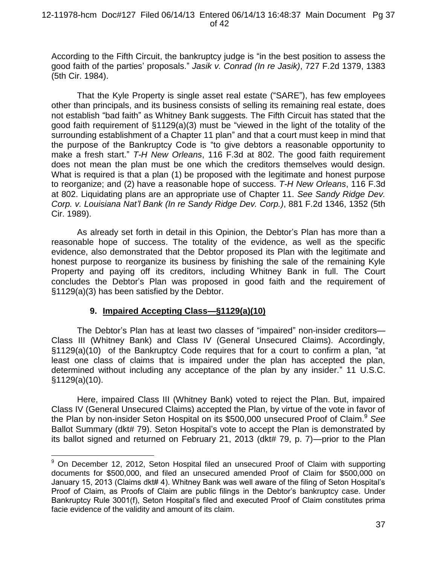According to the Fifth Circuit, the bankruptcy judge is "in the best position to assess the good faith of the parties' proposals." *Jasik v. Conrad (In re Jasik)*, 727 F.2d 1379, 1383 (5th Cir. 1984).

That the Kyle Property is single asset real estate ("SARE"), has few employees other than principals, and its business consists of selling its remaining real estate, does not establish "bad faith" as Whitney Bank suggests. The Fifth Circuit has stated that the good faith requirement of §1129(a)(3) must be "viewed in the light of the totality of the surrounding establishment of a Chapter 11 plan" and that a court must keep in mind that the purpose of the Bankruptcy Code is "to give debtors a reasonable opportunity to make a fresh start." *T-H New Orleans*, 116 F.3d at 802. The good faith requirement does not mean the plan must be one which the creditors themselves would design. What is required is that a plan (1) be proposed with the legitimate and honest purpose to reorganize; and (2) have a reasonable hope of success. *T-H New Orleans*, 116 F.3d at 802. Liquidating plans are an appropriate use of Chapter 11. *See Sandy Ridge Dev. Corp. v. Louisiana Nat'l Bank (In re Sandy Ridge Dev. Corp.)*, 881 F.2d 1346, 1352 (5th Cir. 1989).

As already set forth in detail in this Opinion, the Debtor's Plan has more than a reasonable hope of success. The totality of the evidence, as well as the specific evidence, also demonstrated that the Debtor proposed its Plan with the legitimate and honest purpose to reorganize its business by finishing the sale of the remaining Kyle Property and paying off its creditors, including Whitney Bank in full. The Court concludes the Debtor's Plan was proposed in good faith and the requirement of §1129(a)(3) has been satisfied by the Debtor.

# **9. Impaired Accepting Class—§1129(a)(10)**

 $\overline{a}$ 

The Debtor's Plan has at least two classes of "impaired" non-insider creditors— Class III (Whitney Bank) and Class IV (General Unsecured Claims). Accordingly, §1129(a)(10) of the Bankruptcy Code requires that for a court to confirm a plan, "at least one class of claims that is impaired under the plan has accepted the plan, determined without including any acceptance of the plan by any insider." 11 U.S.C. §1129(a)(10).

Here, impaired Class III (Whitney Bank) voted to reject the Plan. But, impaired Class IV (General Unsecured Claims) accepted the Plan, by virtue of the vote in favor of the Plan by non-insider Seton Hospital on its \$500,000 unsecured Proof of Claim.<sup>9</sup> See Ballot Summary (dkt# 79). Seton Hospital's vote to accept the Plan is demonstrated by its ballot signed and returned on February 21, 2013 (dkt# 79, p. 7)—prior to the Plan

<sup>&</sup>lt;sup>9</sup> On December 12, 2012, Seton Hospital filed an unsecured Proof of Claim with supporting documents for \$500,000, and filed an unsecured amended Proof of Claim for \$500,000 on January 15, 2013 (Claims dkt# 4). Whitney Bank was well aware of the filing of Seton Hospital's Proof of Claim, as Proofs of Claim are public filings in the Debtor's bankruptcy case. Under Bankruptcy Rule 3001(f), Seton Hospital's filed and executed Proof of Claim constitutes prima facie evidence of the validity and amount of its claim.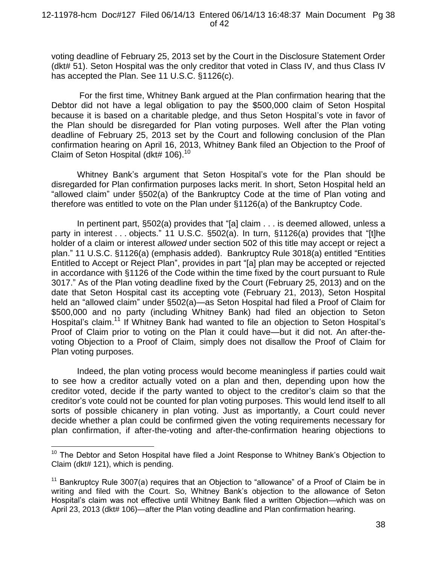voting deadline of February 25, 2013 set by the Court in the Disclosure Statement Order (dkt# 51). Seton Hospital was the only creditor that voted in Class IV, and thus Class IV has accepted the Plan. See 11 U.S.C. §1126(c).

For the first time, Whitney Bank argued at the Plan confirmation hearing that the Debtor did not have a legal obligation to pay the \$500,000 claim of Seton Hospital because it is based on a charitable pledge, and thus Seton Hospital's vote in favor of the Plan should be disregarded for Plan voting purposes. Well after the Plan voting deadline of February 25, 2013 set by the Court and following conclusion of the Plan confirmation hearing on April 16, 2013, Whitney Bank filed an Objection to the Proof of Claim of Seton Hospital (dkt# 106).<sup>10</sup>

Whitney Bank's argument that Seton Hospital's vote for the Plan should be disregarded for Plan confirmation purposes lacks merit. In short, Seton Hospital held an "allowed claim" under §502(a) of the Bankruptcy Code at the time of Plan voting and therefore was entitled to vote on the Plan under §1126(a) of the Bankruptcy Code.

In pertinent part, §502(a) provides that "[a] claim . . . is deemed allowed, unless a party in interest . . . objects." 11 U.S.C. §502(a). In turn, §1126(a) provides that "[t]he holder of a claim or interest *allowed* under section 502 of this title may accept or reject a plan." 11 U.S.C. §1126(a) (emphasis added). Bankruptcy Rule 3018(a) entitled "Entities Entitled to Accept or Reject Plan", provides in part "[a] plan may be accepted or rejected in accordance with §1126 of the Code within the time fixed by the court pursuant to Rule 3017." As of the Plan voting deadline fixed by the Court (February 25, 2013) and on the date that Seton Hospital cast its accepting vote (February 21, 2013), Seton Hospital held an "allowed claim" under §502(a)—as Seton Hospital had filed a Proof of Claim for \$500,000 and no party (including Whitney Bank) had filed an objection to Seton Hospital's claim.<sup>11</sup> If Whitney Bank had wanted to file an objection to Seton Hospital's Proof of Claim prior to voting on the Plan it could have—but it did not. An after-thevoting Objection to a Proof of Claim, simply does not disallow the Proof of Claim for Plan voting purposes.

Indeed, the plan voting process would become meaningless if parties could wait to see how a creditor actually voted on a plan and then, depending upon how the creditor voted, decide if the party wanted to object to the creditor's claim so that the creditor's vote could not be counted for plan voting purposes. This would lend itself to all sorts of possible chicanery in plan voting. Just as importantly, a Court could never decide whether a plan could be confirmed given the voting requirements necessary for plan confirmation, if after-the-voting and after-the-confirmation hearing objections to

 $\overline{a}$ 

 $10$  The Debtor and Seton Hospital have filed a Joint Response to Whitney Bank's Objection to Claim (dkt# 121), which is pending.

<sup>&</sup>lt;sup>11</sup> Bankruptcy Rule 3007(a) requires that an Objection to "allowance" of a Proof of Claim be in writing and filed with the Court. So, Whitney Bank's objection to the allowance of Seton Hospital's claim was not effective until Whitney Bank filed a written Objection—which was on April 23, 2013 (dkt# 106)—after the Plan voting deadline and Plan confirmation hearing.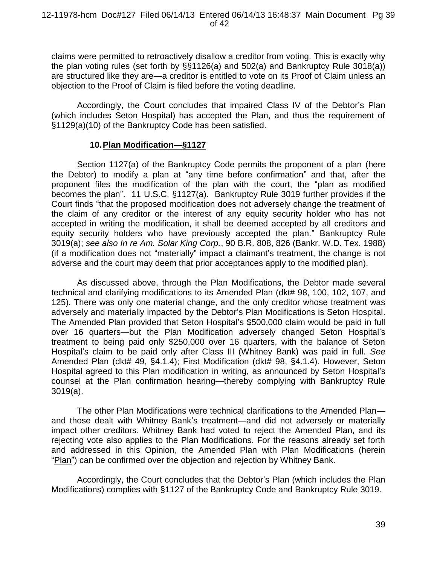claims were permitted to retroactively disallow a creditor from voting. This is exactly why the plan voting rules (set forth by §§1126(a) and 502(a) and Bankruptcy Rule 3018(a)) are structured like they are—a creditor is entitled to vote on its Proof of Claim unless an objection to the Proof of Claim is filed before the voting deadline.

Accordingly, the Court concludes that impaired Class IV of the Debtor's Plan (which includes Seton Hospital) has accepted the Plan, and thus the requirement of §1129(a)(10) of the Bankruptcy Code has been satisfied.

### **10.Plan Modification—§1127**

Section 1127(a) of the Bankruptcy Code permits the proponent of a plan (here the Debtor) to modify a plan at "any time before confirmation" and that, after the proponent files the modification of the plan with the court, the "plan as modified becomes the plan". 11 U.S.C. §1127(a). Bankruptcy Rule 3019 further provides if the Court finds "that the proposed modification does not adversely change the treatment of the claim of any creditor or the interest of any equity security holder who has not accepted in writing the modification, it shall be deemed accepted by all creditors and equity security holders who have previously accepted the plan." Bankruptcy Rule 3019(a); *see also In re Am. Solar King Corp.*, 90 B.R. 808, 826 (Bankr. W.D. Tex. 1988) (if a modification does not "materially" impact a claimant's treatment, the change is not adverse and the court may deem that prior acceptances apply to the modified plan).

As discussed above, through the Plan Modifications, the Debtor made several technical and clarifying modifications to its Amended Plan (dkt# 98, 100, 102, 107, and 125). There was only one material change, and the only creditor whose treatment was adversely and materially impacted by the Debtor's Plan Modifications is Seton Hospital. The Amended Plan provided that Seton Hospital's \$500,000 claim would be paid in full over 16 quarters—but the Plan Modification adversely changed Seton Hospital's treatment to being paid only \$250,000 over 16 quarters, with the balance of Seton Hospital's claim to be paid only after Class III (Whitney Bank) was paid in full. *See* Amended Plan (dkt# 49, §4.1.4); First Modification (dkt# 98, §4.1.4). However, Seton Hospital agreed to this Plan modification in writing, as announced by Seton Hospital's counsel at the Plan confirmation hearing—thereby complying with Bankruptcy Rule 3019(a).

The other Plan Modifications were technical clarifications to the Amended Plan and those dealt with Whitney Bank's treatment—and did not adversely or materially impact other creditors. Whitney Bank had voted to reject the Amended Plan, and its rejecting vote also applies to the Plan Modifications. For the reasons already set forth and addressed in this Opinion, the Amended Plan with Plan Modifications (herein "Plan") can be confirmed over the objection and rejection by Whitney Bank.

Accordingly, the Court concludes that the Debtor's Plan (which includes the Plan Modifications) complies with §1127 of the Bankruptcy Code and Bankruptcy Rule 3019.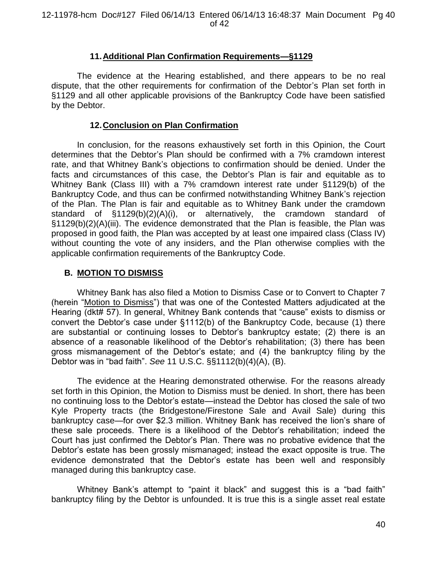# **11.Additional Plan Confirmation Requirements—§1129**

The evidence at the Hearing established, and there appears to be no real dispute, that the other requirements for confirmation of the Debtor's Plan set forth in §1129 and all other applicable provisions of the Bankruptcy Code have been satisfied by the Debtor.

## **12.Conclusion on Plan Confirmation**

In conclusion, for the reasons exhaustively set forth in this Opinion, the Court determines that the Debtor's Plan should be confirmed with a 7% cramdown interest rate, and that Whitney Bank's objections to confirmation should be denied. Under the facts and circumstances of this case, the Debtor's Plan is fair and equitable as to Whitney Bank (Class III) with a 7% cramdown interest rate under §1129(b) of the Bankruptcy Code, and thus can be confirmed notwithstanding Whitney Bank's rejection of the Plan. The Plan is fair and equitable as to Whitney Bank under the cramdown standard of §1129(b)(2)(A)(i), or alternatively, the cramdown standard of §1129(b)(2)(A)(iii). The evidence demonstrated that the Plan is feasible, the Plan was proposed in good faith, the Plan was accepted by at least one impaired class (Class IV) without counting the vote of any insiders, and the Plan otherwise complies with the applicable confirmation requirements of the Bankruptcy Code.

# **B. MOTION TO DISMISS**

Whitney Bank has also filed a Motion to Dismiss Case or to Convert to Chapter 7 (herein "Motion to Dismiss") that was one of the Contested Matters adjudicated at the Hearing (dkt# 57). In general, Whitney Bank contends that "cause" exists to dismiss or convert the Debtor's case under §1112(b) of the Bankruptcy Code, because (1) there are substantial or continuing losses to Debtor's bankruptcy estate; (2) there is an absence of a reasonable likelihood of the Debtor's rehabilitation; (3) there has been gross mismanagement of the Debtor's estate; and (4) the bankruptcy filing by the Debtor was in "bad faith". *See* 11 U.S.C. §§1112(b)(4)(A), (B).

The evidence at the Hearing demonstrated otherwise. For the reasons already set forth in this Opinion, the Motion to Dismiss must be denied. In short, there has been no continuing loss to the Debtor's estate—instead the Debtor has closed the sale of two Kyle Property tracts (the Bridgestone/Firestone Sale and Avail Sale) during this bankruptcy case—for over \$2.3 million. Whitney Bank has received the lion's share of these sale proceeds. There is a likelihood of the Debtor's rehabilitation; indeed the Court has just confirmed the Debtor's Plan. There was no probative evidence that the Debtor's estate has been grossly mismanaged; instead the exact opposite is true. The evidence demonstrated that the Debtor's estate has been well and responsibly managed during this bankruptcy case.

Whitney Bank's attempt to "paint it black" and suggest this is a "bad faith" bankruptcy filing by the Debtor is unfounded. It is true this is a single asset real estate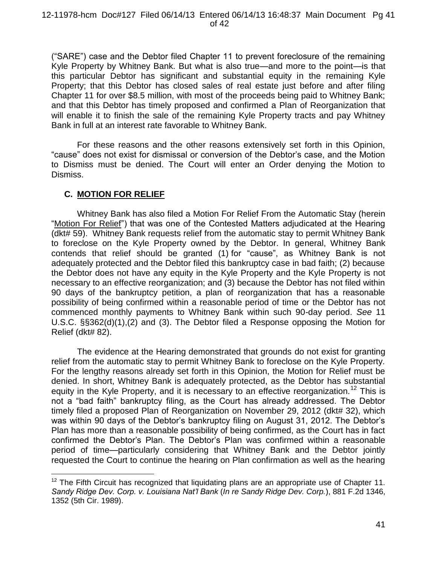("SARE") case and the Debtor filed Chapter 11 to prevent foreclosure of the remaining Kyle Property by Whitney Bank. But what is also true—and more to the point—is that this particular Debtor has significant and substantial equity in the remaining Kyle Property; that this Debtor has closed sales of real estate just before and after filing Chapter 11 for over \$8.5 million, with most of the proceeds being paid to Whitney Bank; and that this Debtor has timely proposed and confirmed a Plan of Reorganization that will enable it to finish the sale of the remaining Kyle Property tracts and pay Whitney Bank in full at an interest rate favorable to Whitney Bank.

For these reasons and the other reasons extensively set forth in this Opinion, "cause" does not exist for dismissal or conversion of the Debtor's case, and the Motion to Dismiss must be denied. The Court will enter an Order denying the Motion to Dismiss.

# **C. MOTION FOR RELIEF**

 $\overline{a}$ 

Whitney Bank has also filed a Motion For Relief From the Automatic Stay (herein "Motion For Relief") that was one of the Contested Matters adjudicated at the Hearing (dkt# 59). Whitney Bank requests relief from the automatic stay to permit Whitney Bank to foreclose on the Kyle Property owned by the Debtor. In general, Whitney Bank contends that relief should be granted (1) for "cause", as Whitney Bank is not adequately protected and the Debtor filed this bankruptcy case in bad faith; (2) because the Debtor does not have any equity in the Kyle Property and the Kyle Property is not necessary to an effective reorganization; and (3) because the Debtor has not filed within 90 days of the bankruptcy petition, a plan of reorganization that has a reasonable possibility of being confirmed within a reasonable period of time or the Debtor has not commenced monthly payments to Whitney Bank within such 90-day period. *See* 11 U.S.C. §§362(d)(1),(2) and (3). The Debtor filed a Response opposing the Motion for Relief (dkt# 82).

The evidence at the Hearing demonstrated that grounds do not exist for granting relief from the automatic stay to permit Whitney Bank to foreclose on the Kyle Property. For the lengthy reasons already set forth in this Opinion, the Motion for Relief must be denied. In short, Whitney Bank is adequately protected, as the Debtor has substantial equity in the Kyle Property, and it is necessary to an effective reorganization.<sup>12</sup> This is not a "bad faith" bankruptcy filing, as the Court has already addressed. The Debtor timely filed a proposed Plan of Reorganization on November 29, 2012 (dkt# 32), which was within 90 days of the Debtor's bankruptcy filing on August 31, 2012. The Debtor's Plan has more than a reasonable possibility of being confirmed, as the Court has in fact confirmed the Debtor's Plan. The Debtor's Plan was confirmed within a reasonable period of time—particularly considering that Whitney Bank and the Debtor jointly requested the Court to continue the hearing on Plan confirmation as well as the hearing

 $12$  The Fifth Circuit has recognized that liquidating plans are an appropriate use of Chapter 11. *Sandy Ridge Dev. Corp. v. Louisiana Nat'l Bank* (*In re Sandy Ridge Dev. Corp.*), 881 F.2d 1346, 1352 (5th Cir. 1989).